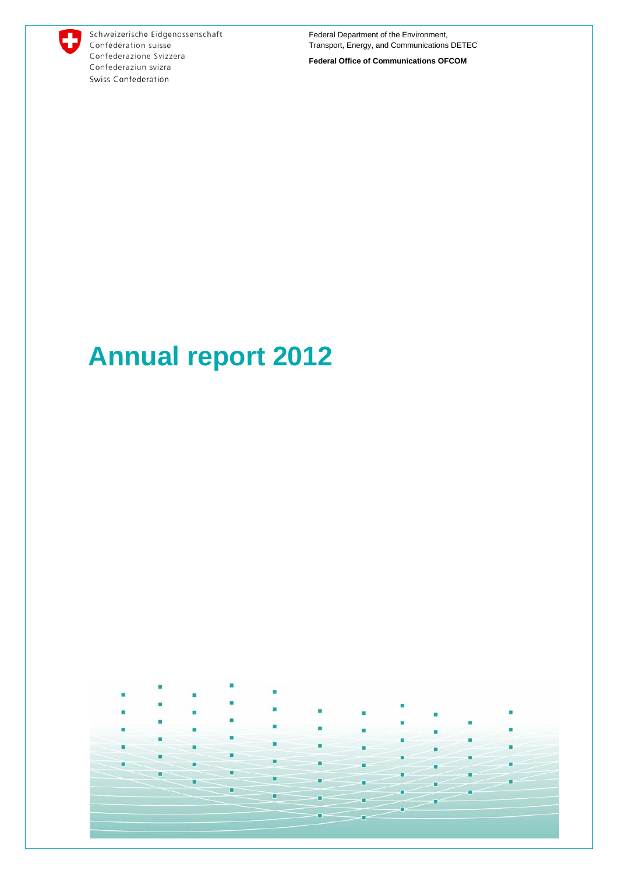

Schweizerische Eidgenossenschaft Confédération suisse Confederazione Svizzera Confederaziun svizra Swiss Confederation

Federal Department of the Environment, Transport, Energy, and Communications DETEC

**Federal Office of Communications OFCOM**

# **Annual report 2012**

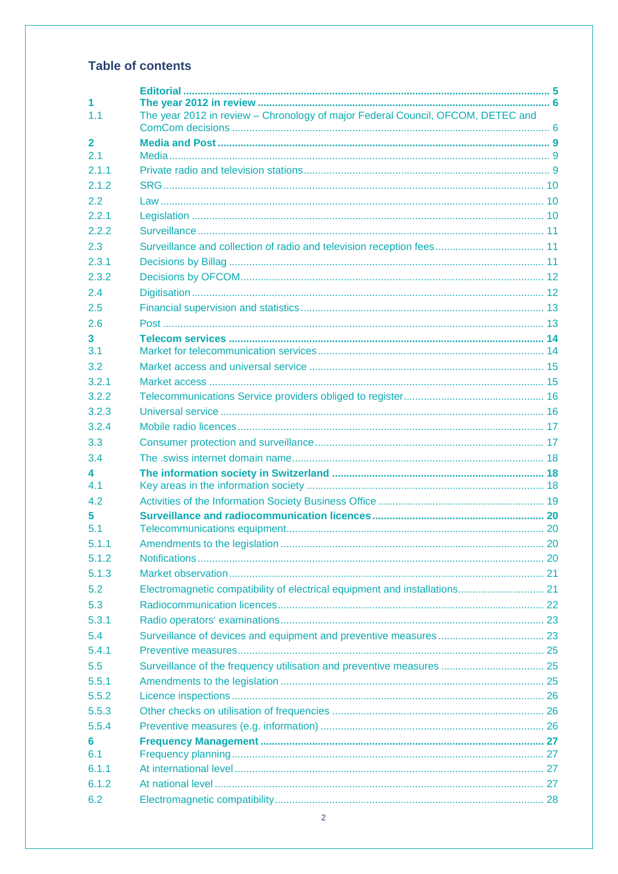## **Table of contents**

| 1.<br>1.1           | The year 2012 in review - Chronology of major Federal Council, OFCOM, DETEC and |  |
|---------------------|---------------------------------------------------------------------------------|--|
|                     |                                                                                 |  |
| $\mathbf{2}$<br>2.1 |                                                                                 |  |
| 2.1.1               |                                                                                 |  |
| 2.1.2               |                                                                                 |  |
| 2.2                 |                                                                                 |  |
| 2.2.1               |                                                                                 |  |
| 2.2.2               |                                                                                 |  |
| 2.3                 |                                                                                 |  |
| 2.3.1               |                                                                                 |  |
| 2.3.2               |                                                                                 |  |
| 2.4                 |                                                                                 |  |
| 2.5                 |                                                                                 |  |
| 2.6                 |                                                                                 |  |
| 3.                  |                                                                                 |  |
| 3.1                 |                                                                                 |  |
| 3.2                 |                                                                                 |  |
| 3.2.1               |                                                                                 |  |
| 3.2.2               |                                                                                 |  |
| 3.2.3               |                                                                                 |  |
| 3.2.4               |                                                                                 |  |
| 3.3                 |                                                                                 |  |
| 3.4                 |                                                                                 |  |
| 4                   |                                                                                 |  |
| 4.1                 |                                                                                 |  |
| 4.2<br>5            |                                                                                 |  |
| 5.1                 |                                                                                 |  |
| 5.1.1               |                                                                                 |  |
| 5.1.2               |                                                                                 |  |
| 5.1.3               |                                                                                 |  |
| 5.2                 |                                                                                 |  |
| 5.3                 |                                                                                 |  |
| 5.3.1               |                                                                                 |  |
| 5.4                 |                                                                                 |  |
| 5.4.1               |                                                                                 |  |
| 5.5                 | Surveillance of the frequency utilisation and preventive measures  25           |  |
| 5.5.1               |                                                                                 |  |
| 5.5.2               |                                                                                 |  |
| 5.5.3               |                                                                                 |  |
| 5.5.4               |                                                                                 |  |
| 6                   |                                                                                 |  |
| 6.1                 |                                                                                 |  |
| 6.1.1               |                                                                                 |  |
| 6.1.2               |                                                                                 |  |
| 6.2                 |                                                                                 |  |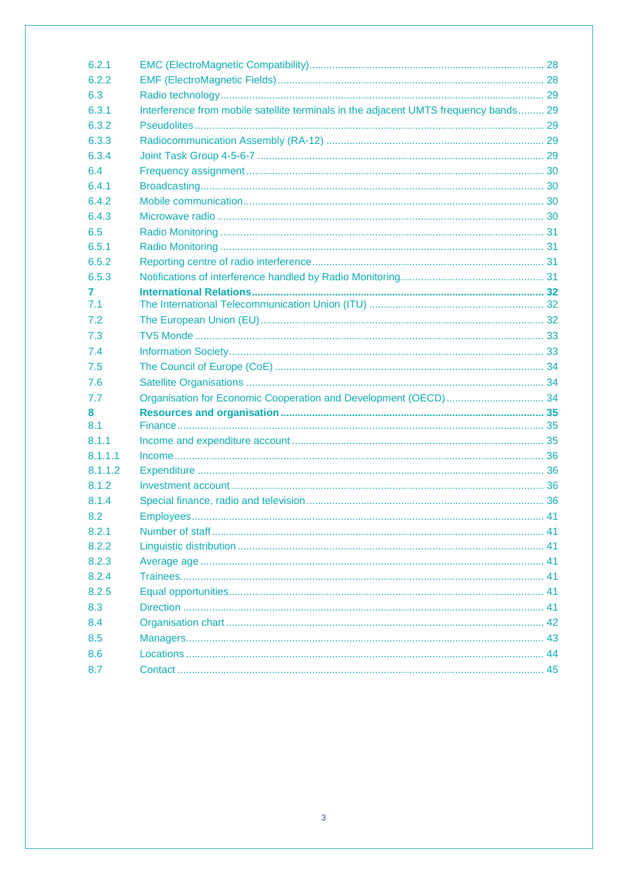| 6.2.1   |                                                                                      |  |
|---------|--------------------------------------------------------------------------------------|--|
| 6.2.2   |                                                                                      |  |
| 6.3     |                                                                                      |  |
| 6.3.1   | Interference from mobile satellite terminals in the adjacent UMTS frequency bands 29 |  |
| 6.3.2   |                                                                                      |  |
| 6.3.3   |                                                                                      |  |
| 6.3.4   |                                                                                      |  |
| 6.4     |                                                                                      |  |
| 6.4.1   |                                                                                      |  |
| 6.4.2   |                                                                                      |  |
| 6.4.3   |                                                                                      |  |
| 6.5     |                                                                                      |  |
| 6.5.1   |                                                                                      |  |
| 6.5.2   |                                                                                      |  |
| 6.5.3   |                                                                                      |  |
| 7       |                                                                                      |  |
| 7.1     |                                                                                      |  |
| 7.2     |                                                                                      |  |
| 7.3     |                                                                                      |  |
| 7.4     |                                                                                      |  |
| 7.5     |                                                                                      |  |
| 7.6     |                                                                                      |  |
| 7.7     |                                                                                      |  |
| 8       |                                                                                      |  |
| 8.1     |                                                                                      |  |
| 8.1.1   |                                                                                      |  |
| 8.1.1.1 |                                                                                      |  |
| 8.1.1.2 |                                                                                      |  |
| 8.1.2   |                                                                                      |  |
| 8.1.4   |                                                                                      |  |
| 8.2     |                                                                                      |  |
| 8.2.1   |                                                                                      |  |
| 8.2.2   |                                                                                      |  |
| 8.2.3   |                                                                                      |  |
| 8.2.4   |                                                                                      |  |
| 8.2.5   |                                                                                      |  |
| 8.3     |                                                                                      |  |
| 8.4     |                                                                                      |  |
| 8.5     |                                                                                      |  |
| 8.6     |                                                                                      |  |
| 8.7     |                                                                                      |  |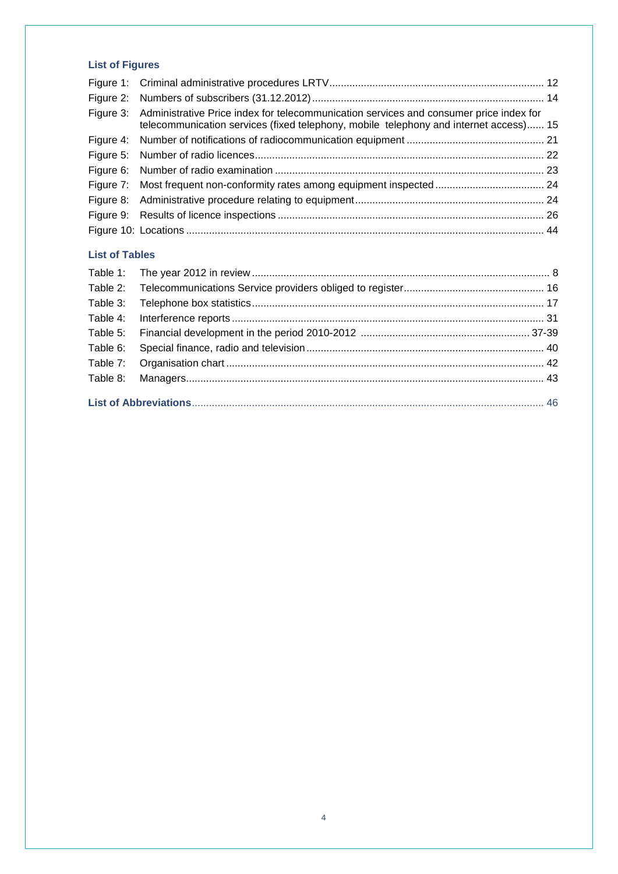### **List of Figures**

| Figure 3: Administrative Price index for telecommunication services and consumer price index for<br>telecommunication services (fixed telephony, mobile telephony and internet access) 15 |  |
|-------------------------------------------------------------------------------------------------------------------------------------------------------------------------------------------|--|
|                                                                                                                                                                                           |  |
|                                                                                                                                                                                           |  |
|                                                                                                                                                                                           |  |
|                                                                                                                                                                                           |  |
|                                                                                                                                                                                           |  |
|                                                                                                                                                                                           |  |
|                                                                                                                                                                                           |  |
|                                                                                                                                                                                           |  |

#### **List of Tables**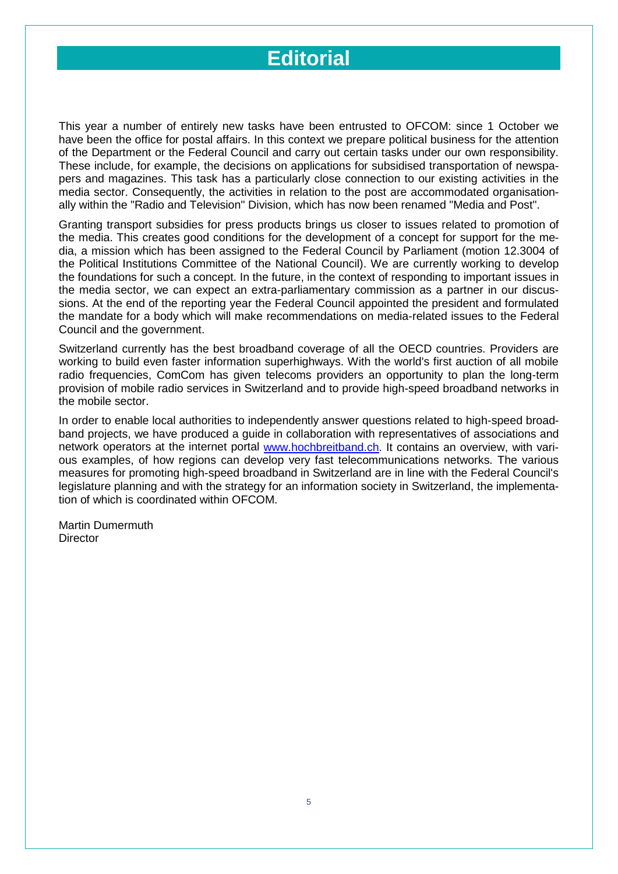## **Editorial**

This year a number of entirely new tasks have been entrusted to OFCOM: since 1 October we have been the office for postal affairs. In this context we prepare political business for the attention of the Department or the Federal Council and carry out certain tasks under our own responsibility. These include, for example, the decisions on applications for subsidised transportation of newspapers and magazines. This task has a particularly close connection to our existing activities in the media sector. Consequently, the activities in relation to the post are accommodated organisationally within the "Radio and Television" Division, which has now been renamed "Media and Post".

Granting transport subsidies for press products brings us closer to issues related to promotion of the media. This creates good conditions for the development of a concept for support for the media, a mission which has been assigned to the Federal Council by Parliament (motion 12.3004 of the Political Institutions Committee of the National Council). We are currently working to develop the foundations for such a concept. In the future, in the context of responding to important issues in the media sector, we can expect an extra-parliamentary commission as a partner in our discussions. At the end of the reporting year the Federal Council appointed the president and formulated the mandate for a body which will make recommendations on media-related issues to the Federal Council and the government.

Switzerland currently has the best broadband coverage of all the OECD countries. Providers are working to build even faster information superhighways. With the world's first auction of all mobile radio frequencies, ComCom has given telecoms providers an opportunity to plan the long-term provision of mobile radio services in Switzerland and to provide high-speed broadband networks in the mobile sector.

In order to enable local authorities to independently answer questions related to high-speed broadband projects, we have produced a guide in collaboration with representatives of associations and network operators at the internet portal [www.hochbreitband.ch.](http://www.hochbreitband.ch/) It contains an overview, with various examples, of how regions can develop very fast telecommunications networks. The various measures for promoting high-speed broadband in Switzerland are in line with the Federal Council's legislature planning and with the strategy for an information society in Switzerland, the implementation of which is coordinated within OFCOM.

Martin Dumermuth **Director**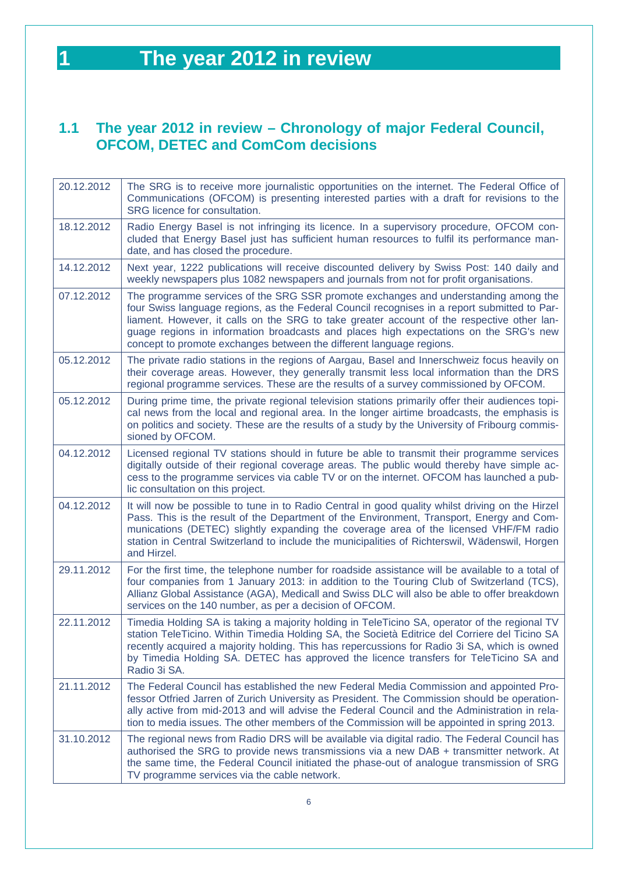## <span id="page-5-0"></span>**1 The year 2012 in review**

## <span id="page-5-1"></span>**1.1 The year 2012 in review – Chronology of major Federal Council, OFCOM, DETEC and ComCom decisions**

| 20.12.2012 | The SRG is to receive more journalistic opportunities on the internet. The Federal Office of<br>Communications (OFCOM) is presenting interested parties with a draft for revisions to the<br>SRG licence for consultation.                                                                                                                                                                                                                         |
|------------|----------------------------------------------------------------------------------------------------------------------------------------------------------------------------------------------------------------------------------------------------------------------------------------------------------------------------------------------------------------------------------------------------------------------------------------------------|
| 18.12.2012 | Radio Energy Basel is not infringing its licence. In a supervisory procedure, OFCOM con-<br>cluded that Energy Basel just has sufficient human resources to fulfil its performance man-<br>date, and has closed the procedure.                                                                                                                                                                                                                     |
| 14.12.2012 | Next year, 1222 publications will receive discounted delivery by Swiss Post: 140 daily and<br>weekly newspapers plus 1082 newspapers and journals from not for profit organisations.                                                                                                                                                                                                                                                               |
| 07.12.2012 | The programme services of the SRG SSR promote exchanges and understanding among the<br>four Swiss language regions, as the Federal Council recognises in a report submitted to Par-<br>liament. However, it calls on the SRG to take greater account of the respective other lan-<br>guage regions in information broadcasts and places high expectations on the SRG's new<br>concept to promote exchanges between the different language regions. |
| 05.12.2012 | The private radio stations in the regions of Aargau, Basel and Innerschweiz focus heavily on<br>their coverage areas. However, they generally transmit less local information than the DRS<br>regional programme services. These are the results of a survey commissioned by OFCOM.                                                                                                                                                                |
| 05.12.2012 | During prime time, the private regional television stations primarily offer their audiences topi-<br>cal news from the local and regional area. In the longer airtime broadcasts, the emphasis is<br>on politics and society. These are the results of a study by the University of Fribourg commis-<br>sioned by OFCOM.                                                                                                                           |
| 04.12.2012 | Licensed regional TV stations should in future be able to transmit their programme services<br>digitally outside of their regional coverage areas. The public would thereby have simple ac-<br>cess to the programme services via cable TV or on the internet. OFCOM has launched a pub-<br>lic consultation on this project.                                                                                                                      |
| 04.12.2012 | It will now be possible to tune in to Radio Central in good quality whilst driving on the Hirzel<br>Pass. This is the result of the Department of the Environment, Transport, Energy and Com-<br>munications (DETEC) slightly expanding the coverage area of the licensed VHF/FM radio<br>station in Central Switzerland to include the municipalities of Richterswil, Wädenswil, Horgen<br>and Hirzel.                                            |
| 29.11.2012 | For the first time, the telephone number for roadside assistance will be available to a total of<br>four companies from 1 January 2013: in addition to the Touring Club of Switzerland (TCS),<br>Allianz Global Assistance (AGA), Medicall and Swiss DLC will also be able to offer breakdown<br>services on the 140 number, as per a decision of OFCOM.                                                                                           |
| 22.11.2012 | Timedia Holding SA is taking a majority holding in TeleTicino SA, operator of the regional TV<br>station TeleTicino. Within Timedia Holding SA, the Società Editrice del Corriere del Ticino SA<br>recently acquired a majority holding. This has repercussions for Radio 3i SA, which is owned<br>by Timedia Holding SA. DETEC has approved the licence transfers for TeleTicino SA and<br>Radio 3i SA.                                           |
| 21.11.2012 | The Federal Council has established the new Federal Media Commission and appointed Pro-<br>fessor Otfried Jarren of Zurich University as President. The Commission should be operation-<br>ally active from mid-2013 and will advise the Federal Council and the Administration in rela-<br>tion to media issues. The other members of the Commission will be appointed in spring 2013.                                                            |
| 31.10.2012 | The regional news from Radio DRS will be available via digital radio. The Federal Council has<br>authorised the SRG to provide news transmissions via a new DAB + transmitter network. At<br>the same time, the Federal Council initiated the phase-out of analogue transmission of SRG<br>TV programme services via the cable network.                                                                                                            |

6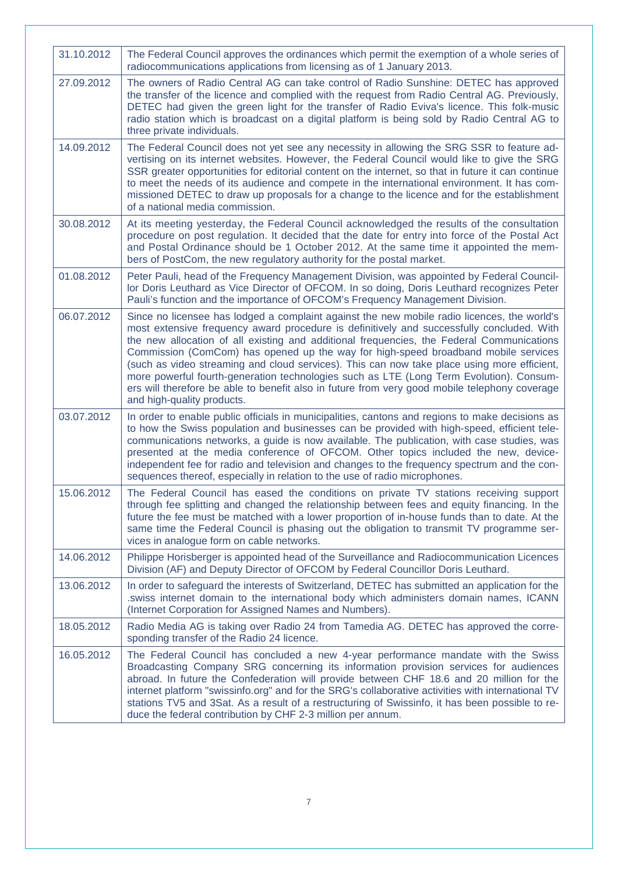| 31.10.2012 | The Federal Council approves the ordinances which permit the exemption of a whole series of<br>radiocommunications applications from licensing as of 1 January 2013.                                                                                                                                                                                                                                                                                                                                                                                                                                                                                                                                 |
|------------|------------------------------------------------------------------------------------------------------------------------------------------------------------------------------------------------------------------------------------------------------------------------------------------------------------------------------------------------------------------------------------------------------------------------------------------------------------------------------------------------------------------------------------------------------------------------------------------------------------------------------------------------------------------------------------------------------|
| 27.09.2012 | The owners of Radio Central AG can take control of Radio Sunshine: DETEC has approved<br>the transfer of the licence and complied with the request from Radio Central AG. Previously,<br>DETEC had given the green light for the transfer of Radio Eviva's licence. This folk-music<br>radio station which is broadcast on a digital platform is being sold by Radio Central AG to<br>three private individuals.                                                                                                                                                                                                                                                                                     |
| 14.09.2012 | The Federal Council does not yet see any necessity in allowing the SRG SSR to feature ad-<br>vertising on its internet websites. However, the Federal Council would like to give the SRG<br>SSR greater opportunities for editorial content on the internet, so that in future it can continue<br>to meet the needs of its audience and compete in the international environment. It has com-<br>missioned DETEC to draw up proposals for a change to the licence and for the establishment<br>of a national media commission.                                                                                                                                                                       |
| 30.08.2012 | At its meeting yesterday, the Federal Council acknowledged the results of the consultation<br>procedure on post regulation. It decided that the date for entry into force of the Postal Act<br>and Postal Ordinance should be 1 October 2012. At the same time it appointed the mem-<br>bers of PostCom, the new regulatory authority for the postal market.                                                                                                                                                                                                                                                                                                                                         |
| 01.08.2012 | Peter Pauli, head of the Frequency Management Division, was appointed by Federal Council-<br>lor Doris Leuthard as Vice Director of OFCOM. In so doing, Doris Leuthard recognizes Peter<br>Pauli's function and the importance of OFCOM's Frequency Management Division.                                                                                                                                                                                                                                                                                                                                                                                                                             |
| 06.07.2012 | Since no licensee has lodged a complaint against the new mobile radio licences, the world's<br>most extensive frequency award procedure is definitively and successfully concluded. With<br>the new allocation of all existing and additional frequencies, the Federal Communications<br>Commission (ComCom) has opened up the way for high-speed broadband mobile services<br>(such as video streaming and cloud services). This can now take place using more efficient,<br>more powerful fourth-generation technologies such as LTE (Long Term Evolution). Consum-<br>ers will therefore be able to benefit also in future from very good mobile telephony coverage<br>and high-quality products. |
| 03.07.2012 | In order to enable public officials in municipalities, cantons and regions to make decisions as<br>to how the Swiss population and businesses can be provided with high-speed, efficient tele-<br>communications networks, a guide is now available. The publication, with case studies, was<br>presented at the media conference of OFCOM. Other topics included the new, device-<br>independent fee for radio and television and changes to the frequency spectrum and the con-<br>sequences thereof, especially in relation to the use of radio microphones.                                                                                                                                      |
| 15.06.2012 | The Federal Council has eased the conditions on private TV stations receiving support<br>through fee splitting and changed the relationship between fees and equity financing. In the<br>future the fee must be matched with a lower proportion of in-house funds than to date. At the<br>same time the Federal Council is phasing out the obligation to transmit TV programme ser-<br>vices in analogue form on cable networks.                                                                                                                                                                                                                                                                     |
| 14.06.2012 | Philippe Horisberger is appointed head of the Surveillance and Radiocommunication Licences<br>Division (AF) and Deputy Director of OFCOM by Federal Councillor Doris Leuthard.                                                                                                                                                                                                                                                                                                                                                                                                                                                                                                                       |
| 13.06.2012 | In order to safeguard the interests of Switzerland, DETEC has submitted an application for the<br>swiss internet domain to the international body which administers domain names, ICANN.<br>(Internet Corporation for Assigned Names and Numbers).                                                                                                                                                                                                                                                                                                                                                                                                                                                   |
| 18.05.2012 | Radio Media AG is taking over Radio 24 from Tamedia AG. DETEC has approved the corre-<br>sponding transfer of the Radio 24 licence.                                                                                                                                                                                                                                                                                                                                                                                                                                                                                                                                                                  |
| 16.05.2012 | The Federal Council has concluded a new 4-year performance mandate with the Swiss<br>Broadcasting Company SRG concerning its information provision services for audiences<br>abroad. In future the Confederation will provide between CHF 18.6 and 20 million for the<br>internet platform "swissinfo.org" and for the SRG's collaborative activities with international TV<br>stations TV5 and 3Sat. As a result of a restructuring of Swissinfo, it has been possible to re-<br>duce the federal contribution by CHF 2-3 million per annum.                                                                                                                                                        |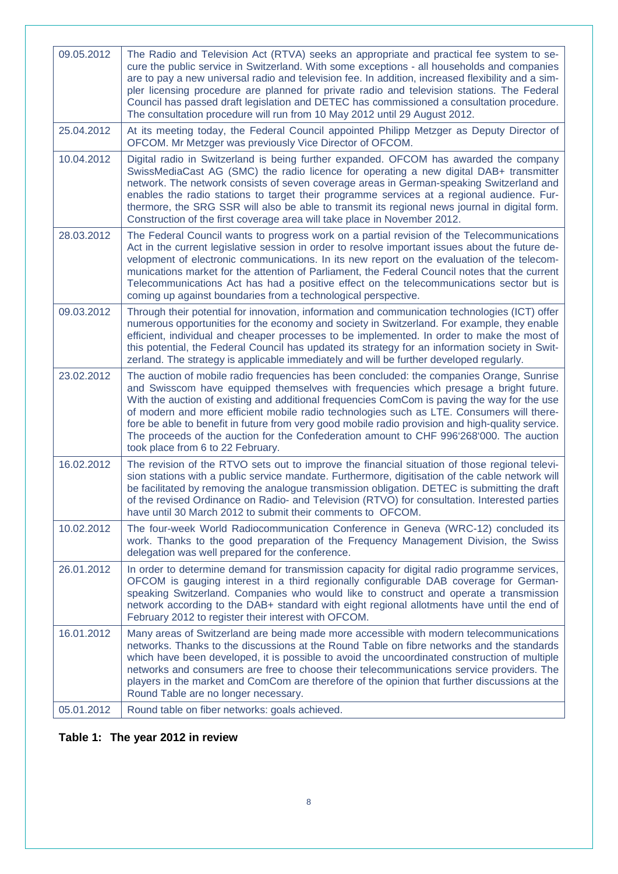| 09.05.2012 | The Radio and Television Act (RTVA) seeks an appropriate and practical fee system to se-<br>cure the public service in Switzerland. With some exceptions - all households and companies<br>are to pay a new universal radio and television fee. In addition, increased flexibility and a sim-<br>pler licensing procedure are planned for private radio and television stations. The Federal<br>Council has passed draft legislation and DETEC has commissioned a consultation procedure.<br>The consultation procedure will run from 10 May 2012 until 29 August 2012.                                               |
|------------|-----------------------------------------------------------------------------------------------------------------------------------------------------------------------------------------------------------------------------------------------------------------------------------------------------------------------------------------------------------------------------------------------------------------------------------------------------------------------------------------------------------------------------------------------------------------------------------------------------------------------|
| 25.04.2012 | At its meeting today, the Federal Council appointed Philipp Metzger as Deputy Director of<br>OFCOM. Mr Metzger was previously Vice Director of OFCOM.                                                                                                                                                                                                                                                                                                                                                                                                                                                                 |
| 10.04.2012 | Digital radio in Switzerland is being further expanded. OFCOM has awarded the company<br>SwissMediaCast AG (SMC) the radio licence for operating a new digital DAB+ transmitter<br>network. The network consists of seven coverage areas in German-speaking Switzerland and<br>enables the radio stations to target their programme services at a regional audience. Fur-<br>thermore, the SRG SSR will also be able to transmit its regional news journal in digital form.<br>Construction of the first coverage area will take place in November 2012.                                                              |
| 28.03.2012 | The Federal Council wants to progress work on a partial revision of the Telecommunications<br>Act in the current legislative session in order to resolve important issues about the future de-<br>velopment of electronic communications. In its new report on the evaluation of the telecom-<br>munications market for the attention of Parliament, the Federal Council notes that the current<br>Telecommunications Act has had a positive effect on the telecommunications sector but is<br>coming up against boundaries from a technological perspective.                                                         |
| 09.03.2012 | Through their potential for innovation, information and communication technologies (ICT) offer<br>numerous opportunities for the economy and society in Switzerland. For example, they enable<br>efficient, individual and cheaper processes to be implemented. In order to make the most of<br>this potential, the Federal Council has updated its strategy for an information society in Swit-<br>zerland. The strategy is applicable immediately and will be further developed regularly.                                                                                                                          |
| 23.02.2012 | The auction of mobile radio frequencies has been concluded: the companies Orange, Sunrise<br>and Swisscom have equipped themselves with frequencies which presage a bright future.<br>With the auction of existing and additional frequencies ComCom is paving the way for the use<br>of modern and more efficient mobile radio technologies such as LTE. Consumers will there-<br>fore be able to benefit in future from very good mobile radio provision and high-quality service.<br>The proceeds of the auction for the Confederation amount to CHF 996'268'000. The auction<br>took place from 6 to 22 February. |
| 16.02.2012 | The revision of the RTVO sets out to improve the financial situation of those regional televi-<br>sion stations with a public service mandate. Furthermore, digitisation of the cable network will<br>be facilitated by removing the analogue transmission obligation. DETEC is submitting the draft<br>of the revised Ordinance on Radio- and Television (RTVO) for consultation. Interested parties<br>have until 30 March 2012 to submit their comments to OFCOM.                                                                                                                                                  |
| 10.02.2012 | The four-week World Radiocommunication Conference in Geneva (WRC-12) concluded its<br>work. Thanks to the good preparation of the Frequency Management Division, the Swiss<br>delegation was well prepared for the conference.                                                                                                                                                                                                                                                                                                                                                                                        |
| 26.01.2012 | In order to determine demand for transmission capacity for digital radio programme services,<br>OFCOM is gauging interest in a third regionally configurable DAB coverage for German-<br>speaking Switzerland. Companies who would like to construct and operate a transmission<br>network according to the DAB+ standard with eight regional allotments have until the end of<br>February 2012 to register their interest with OFCOM.                                                                                                                                                                                |
| 16.01.2012 | Many areas of Switzerland are being made more accessible with modern telecommunications<br>networks. Thanks to the discussions at the Round Table on fibre networks and the standards<br>which have been developed, it is possible to avoid the uncoordinated construction of multiple<br>networks and consumers are free to choose their telecommunications service providers. The<br>players in the market and ComCom are therefore of the opinion that further discussions at the<br>Round Table are no longer necessary.                                                                                          |
| 05.01.2012 | Round table on fiber networks: goals achieved.                                                                                                                                                                                                                                                                                                                                                                                                                                                                                                                                                                        |

## <span id="page-7-0"></span>**Table 1: The year 2012 in review**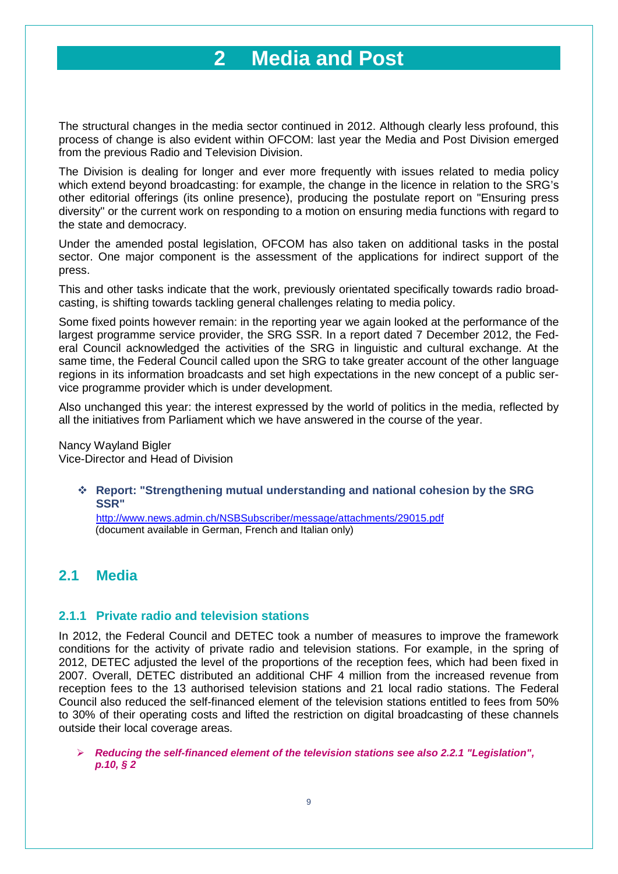## **2 Media and Post**

<span id="page-8-0"></span>The structural changes in the media sector continued in 2012. Although clearly less profound, this process of change is also evident within OFCOM: last year the Media and Post Division emerged from the previous Radio and Television Division.

The Division is dealing for longer and ever more frequently with issues related to media policy which extend beyond broadcasting: for example, the change in the licence in relation to the SRG's other editorial offerings (its online presence), producing the postulate report on "Ensuring press diversity" or the current work on responding to a motion on ensuring media functions with regard to the state and democracy.

Under the amended postal legislation, OFCOM has also taken on additional tasks in the postal sector. One major component is the assessment of the applications for indirect support of the press.

This and other tasks indicate that the work, previously orientated specifically towards radio broadcasting, is shifting towards tackling general challenges relating to media policy.

Some fixed points however remain: in the reporting year we again looked at the performance of the largest programme service provider, the SRG SSR. In a report dated 7 December 2012, the Federal Council acknowledged the activities of the SRG in linguistic and cultural exchange. At the same time, the Federal Council called upon the SRG to take greater account of the other language regions in its information broadcasts and set high expectations in the new concept of a public service programme provider which is under development.

Also unchanged this year: the interest expressed by the world of politics in the media, reflected by all the initiatives from Parliament which we have answered in the course of the year.

Nancy Wayland Bigler Vice-Director and Head of Division

#### **Report: "Strengthening mutual understanding and national cohesion by the SRG SSR"**

<http://www.news.admin.ch/NSBSubscriber/message/attachments/29015.pdf> (document available in German, French and Italian only)

## <span id="page-8-1"></span>**2.1 Media**

#### <span id="page-8-2"></span>**2.1.1 Private radio and television stations**

In 2012, the Federal Council and DETEC took a number of measures to improve the framework conditions for the activity of private radio and television stations. For example, in the spring of 2012, DETEC adjusted the level of the proportions of the reception fees, which had been fixed in 2007. Overall, DETEC distributed an additional CHF 4 million from the increased revenue from reception fees to the 13 authorised television stations and 21 local radio stations. The Federal Council also reduced the self-financed element of the television stations entitled to fees from 50% to 30% of their operating costs and lifted the restriction on digital broadcasting of these channels outside their local coverage areas.

 *Reducing the self-financed element of the television stations see also 2.2.1 "Legislation", p.10, § 2*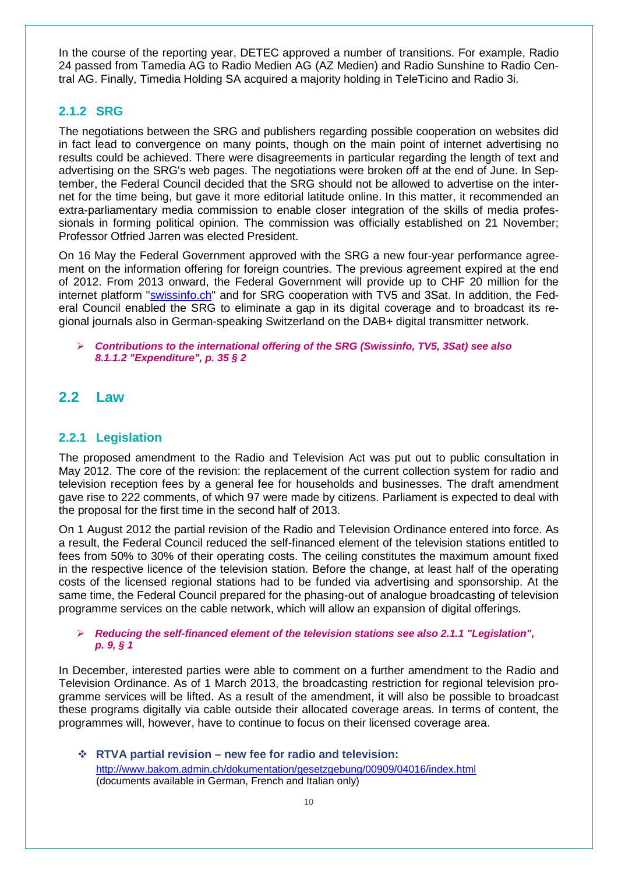In the course of the reporting year, DETEC approved a number of transitions. For example, Radio 24 passed from Tamedia AG to Radio Medien AG (AZ Medien) and Radio Sunshine to Radio Central AG. Finally, Timedia Holding SA acquired a majority holding in TeleTicino and Radio 3i.

#### <span id="page-9-0"></span>**2.1.2 SRG**

The negotiations between the SRG and publishers regarding possible cooperation on websites did in fact lead to convergence on many points, though on the main point of internet advertising no results could be achieved. There were disagreements in particular regarding the length of text and advertising on the SRG's web pages. The negotiations were broken off at the end of June. In September, the Federal Council decided that the SRG should not be allowed to advertise on the internet for the time being, but gave it more editorial latitude online. In this matter, it recommended an extra-parliamentary media commission to enable closer integration of the skills of media professionals in forming political opinion. The commission was officially established on 21 November; Professor Otfried Jarren was elected President.

On 16 May the Federal Government approved with the SRG a new four-year performance agreement on the information offering for foreign countries. The previous agreement expired at the end of 2012. From 2013 onward, the Federal Government will provide up to CHF 20 million for the internet platform ["swissinfo.ch"](http://swissinfo.ch/) and for SRG cooperation with TV5 and 3Sat. In addition, the Federal Council enabled the SRG to eliminate a gap in its digital coverage and to broadcast its regional journals also in German-speaking Switzerland on the DAB+ digital transmitter network.

#### *Contributions to the international offering of the SRG (Swissinfo, TV5, 3Sat) see also 8.1.1.2 "Expenditure", p. 35 § 2*

#### <span id="page-9-1"></span>**2.2 Law**

#### <span id="page-9-2"></span>**2.2.1 Legislation**

The proposed amendment to the Radio and Television Act was put out to public consultation in May 2012. The core of the revision: the replacement of the current collection system for radio and television reception fees by a general fee for households and businesses. The draft amendment gave rise to 222 comments, of which 97 were made by citizens. Parliament is expected to deal with the proposal for the first time in the second half of 2013.

On 1 August 2012 the partial revision of the Radio and Television Ordinance entered into force. As a result, the Federal Council reduced the self-financed element of the television stations entitled to fees from 50% to 30% of their operating costs. The ceiling constitutes the maximum amount fixed in the respective licence of the television station. Before the change, at least half of the operating costs of the licensed regional stations had to be funded via advertising and sponsorship. At the same time, the Federal Council prepared for the phasing-out of analogue broadcasting of television programme services on the cable network, which will allow an expansion of digital offerings.

#### *Reducing the self-financed element of the television stations see also 2.1.1 "Legislation", p. 9, § 1*

In December, interested parties were able to comment on a further amendment to the Radio and Television Ordinance. As of 1 March 2013, the broadcasting restriction for regional television programme services will be lifted. As a result of the amendment, it will also be possible to broadcast these programs digitally via cable outside their allocated coverage areas. In terms of content, the programmes will, however, have to continue to focus on their licensed coverage area.

 **RTVA partial revision – new fee for radio and television:** <http://www.bakom.admin.ch/dokumentation/gesetzgebung/00909/04016/index.html> (documents available in German, French and Italian only)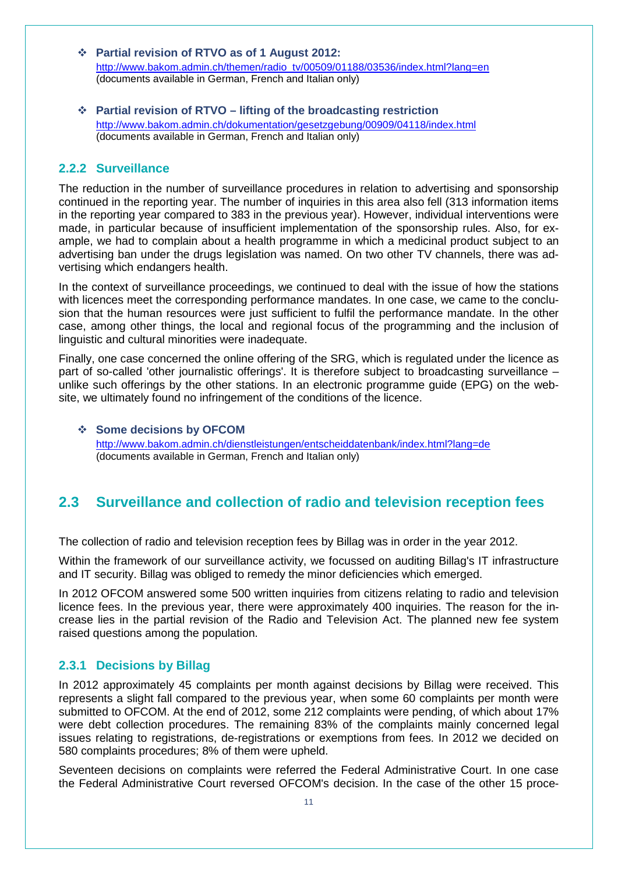- **Partial revision of RTVO as of 1 August 2012:** [http://www.bakom.admin.ch/themen/radio\\_tv/00509/01188/03536/index.html?lang=en](http://www.bakom.admin.ch/themen/radio_tv/00509/01188/03536/index.html?lang=en) (documents available in German, French and Italian only)
- **Partial revision of RTVO – lifting of the broadcasting restriction**  <http://www.bakom.admin.ch/dokumentation/gesetzgebung/00909/04118/index.html> (documents available in German, French and Italian only)

#### <span id="page-10-0"></span>**2.2.2 Surveillance**

The reduction in the number of surveillance procedures in relation to advertising and sponsorship continued in the reporting year. The number of inquiries in this area also fell (313 information items in the reporting year compared to 383 in the previous year). However, individual interventions were made, in particular because of insufficient implementation of the sponsorship rules. Also, for example, we had to complain about a health programme in which a medicinal product subject to an advertising ban under the drugs legislation was named. On two other TV channels, there was advertising which endangers health.

In the context of surveillance proceedings, we continued to deal with the issue of how the stations with licences meet the corresponding performance mandates. In one case, we came to the conclusion that the human resources were just sufficient to fulfil the performance mandate. In the other case, among other things, the local and regional focus of the programming and the inclusion of linguistic and cultural minorities were inadequate.

Finally, one case concerned the online offering of the SRG, which is regulated under the licence as part of so-called 'other journalistic offerings'. It is therefore subject to broadcasting surveillance – unlike such offerings by the other stations. In an electronic programme guide (EPG) on the website, we ultimately found no infringement of the conditions of the licence.

#### $\div$  Some decisions by OFCOM

<http://www.bakom.admin.ch/dienstleistungen/entscheiddatenbank/index.html?lang=de> (documents available in German, French and Italian only)

### <span id="page-10-1"></span>**2.3 Surveillance and collection of radio and television reception fees**

The collection of radio and television reception fees by Billag was in order in the year 2012.

Within the framework of our surveillance activity, we focussed on auditing Billag's IT infrastructure and IT security. Billag was obliged to remedy the minor deficiencies which emerged.

In 2012 OFCOM answered some 500 written inquiries from citizens relating to radio and television licence fees. In the previous year, there were approximately 400 inquiries. The reason for the increase lies in the partial revision of the Radio and Television Act. The planned new fee system raised questions among the population.

#### <span id="page-10-2"></span>**2.3.1 Decisions by Billag**

In 2012 approximately 45 complaints per month against decisions by Billag were received. This represents a slight fall compared to the previous year, when some 60 complaints per month were submitted to OFCOM. At the end of 2012, some 212 complaints were pending, of which about 17% were debt collection procedures. The remaining 83% of the complaints mainly concerned legal issues relating to registrations, de-registrations or exemptions from fees. In 2012 we decided on 580 complaints procedures; 8% of them were upheld.

Seventeen decisions on complaints were referred the Federal Administrative Court. In one case the Federal Administrative Court reversed OFCOM's decision. In the case of the other 15 proce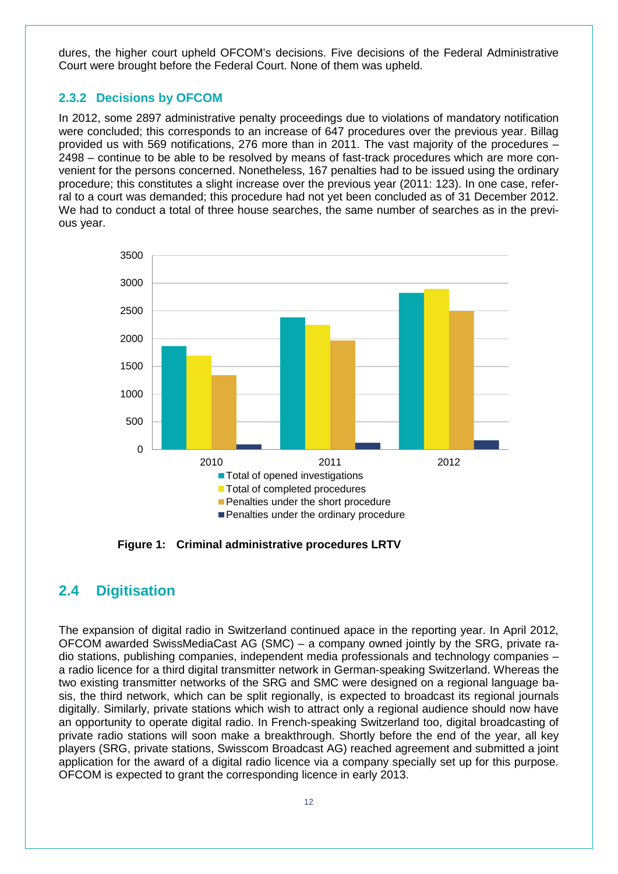dures, the higher court upheld OFCOM's decisions. Five decisions of the Federal Administrative Court were brought before the Federal Court. None of them was upheld.

#### <span id="page-11-0"></span>**2.3.2 Decisions by OFCOM**

In 2012, some 2897 administrative penalty proceedings due to violations of mandatory notification were concluded; this corresponds to an increase of 647 procedures over the previous year. Billag provided us with 569 notifications, 276 more than in 2011. The vast majority of the procedures – 2498 – continue to be able to be resolved by means of fast-track procedures which are more convenient for the persons concerned. Nonetheless, 167 penalties had to be issued using the ordinary procedure; this constitutes a slight increase over the previous year (2011: 123). In one case, referral to a court was demanded; this procedure had not yet been concluded as of 31 December 2012. We had to conduct a total of three house searches, the same number of searches as in the previous year.



**Figure 1: Criminal administrative procedures LRTV**

#### <span id="page-11-2"></span><span id="page-11-1"></span>**2.4 Digitisation**

The expansion of digital radio in Switzerland continued apace in the reporting year. In April 2012, OFCOM awarded SwissMediaCast AG (SMC) – a company owned jointly by the SRG, private radio stations, publishing companies, independent media professionals and technology companies – a radio licence for a third digital transmitter network in German-speaking Switzerland. Whereas the two existing transmitter networks of the SRG and SMC were designed on a regional language basis, the third network, which can be split regionally, is expected to broadcast its regional journals digitally. Similarly, private stations which wish to attract only a regional audience should now have an opportunity to operate digital radio. In French-speaking Switzerland too, digital broadcasting of private radio stations will soon make a breakthrough. Shortly before the end of the year, all key players (SRG, private stations, Swisscom Broadcast AG) reached agreement and submitted a joint application for the award of a digital radio licence via a company specially set up for this purpose. OFCOM is expected to grant the corresponding licence in early 2013.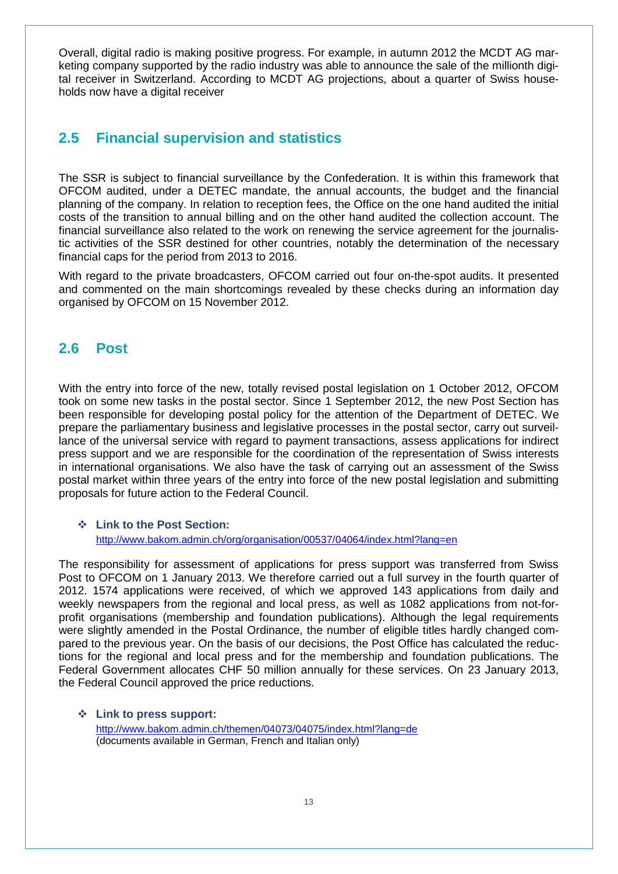Overall, digital radio is making positive progress. For example, in autumn 2012 the MCDT AG marketing company supported by the radio industry was able to announce the sale of the millionth digital receiver in Switzerland. According to MCDT AG projections, about a quarter of Swiss households now have a digital receiver

## <span id="page-12-0"></span>**2.5 Financial supervision and statistics**

The SSR is subject to financial surveillance by the Confederation. It is within this framework that OFCOM audited, under a DETEC mandate, the annual accounts, the budget and the financial planning of the company. In relation to reception fees, the Office on the one hand audited the initial costs of the transition to annual billing and on the other hand audited the collection account. The financial surveillance also related to the work on renewing the service agreement for the journalistic activities of the SSR destined for other countries, notably the determination of the necessary financial caps for the period from 2013 to 2016.

With regard to the private broadcasters, OFCOM carried out four on-the-spot audits. It presented and commented on the main shortcomings revealed by these checks during an information day organised by OFCOM on 15 November 2012.

## <span id="page-12-1"></span>**2.6 Post**

With the entry into force of the new, totally revised postal legislation on 1 October 2012, OFCOM took on some new tasks in the postal sector. Since 1 September 2012, the new Post Section has been responsible for developing postal policy for the attention of the Department of DETEC. We prepare the parliamentary business and legislative processes in the postal sector, carry out surveillance of the universal service with regard to payment transactions, assess applications for indirect press support and we are responsible for the coordination of the representation of Swiss interests in international organisations. We also have the task of carrying out an assessment of the Swiss postal market within three years of the entry into force of the new postal legislation and submitting proposals for future action to the Federal Council.

#### **Link to the Post Section:**  <http://www.bakom.admin.ch/org/organisation/00537/04064/index.html?lang=en>

The responsibility for assessment of applications for press support was transferred from Swiss Post to OFCOM on 1 January 2013. We therefore carried out a full survey in the fourth quarter of 2012. 1574 applications were received, of which we approved 143 applications from daily and weekly newspapers from the regional and local press, as well as 1082 applications from not-forprofit organisations (membership and foundation publications). Although the legal requirements were slightly amended in the Postal Ordinance, the number of eligible titles hardly changed compared to the previous year. On the basis of our decisions, the Post Office has calculated the reductions for the regional and local press and for the membership and foundation publications. The Federal Government allocates CHF 50 million annually for these services. On 23 January 2013, the Federal Council approved the price reductions.

 **Link to press support:**  <http://www.bakom.admin.ch/themen/04073/04075/index.html?lang=de> (documents available in German, French and Italian only)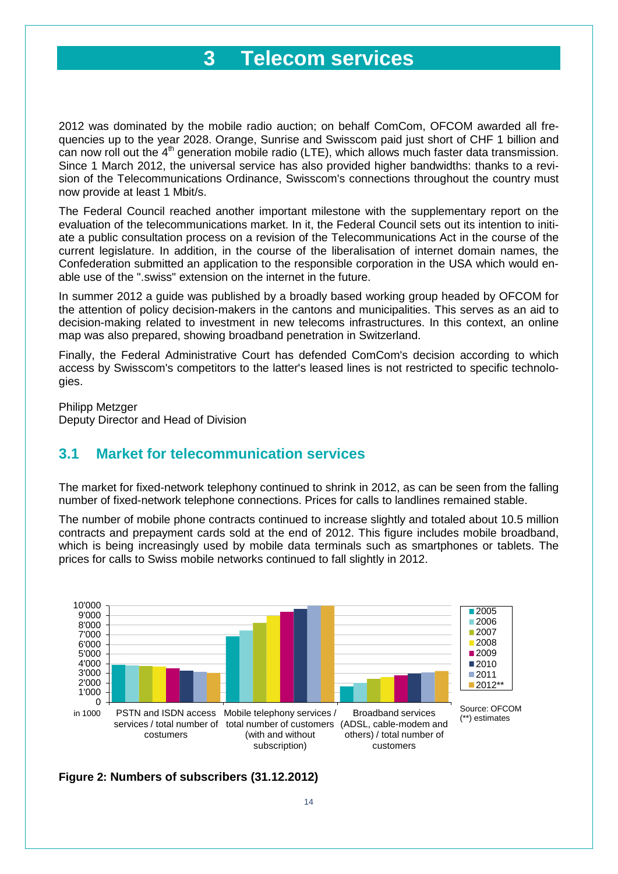## **3 Telecom services**

<span id="page-13-0"></span>2012 was dominated by the mobile radio auction; on behalf ComCom, OFCOM awarded all frequencies up to the year 2028. Orange, Sunrise and Swisscom paid just short of CHF 1 billion and can now roll out the  $4<sup>th</sup>$  generation mobile radio (LTE), which allows much faster data transmission. Since 1 March 2012, the universal service has also provided higher bandwidths: thanks to a revision of the Telecommunications Ordinance, Swisscom's connections throughout the country must now provide at least 1 Mbit/s.

The Federal Council reached another important milestone with the supplementary report on the evaluation of the telecommunications market. In it, the Federal Council sets out its intention to initiate a public consultation process on a revision of the Telecommunications Act in the course of the current legislature. In addition, in the course of the liberalisation of internet domain names, the Confederation submitted an application to the responsible corporation in the USA which would enable use of the ".swiss" extension on the internet in the future.

In summer 2012 a guide was published by a broadly based working group headed by OFCOM for the attention of policy decision-makers in the cantons and municipalities. This serves as an aid to decision-making related to investment in new telecoms infrastructures. In this context, an online map was also prepared, showing broadband penetration in Switzerland.

Finally, the Federal Administrative Court has defended ComCom's decision according to which access by Swisscom's competitors to the latter's leased lines is not restricted to specific technologies.

Philipp Metzger Deputy Director and Head of Division

### <span id="page-13-1"></span>**3.1 Market for telecommunication services**

The market for fixed-network telephony continued to shrink in 2012, as can be seen from the falling number of fixed-network telephone connections. Prices for calls to landlines remained stable.

The number of mobile phone contracts continued to increase slightly and totaled about 10.5 million contracts and prepayment cards sold at the end of 2012. This figure includes mobile broadband, which is being increasingly used by mobile data terminals such as smartphones or tablets. The prices for calls to Swiss mobile networks continued to fall slightly in 2012.



<span id="page-13-2"></span>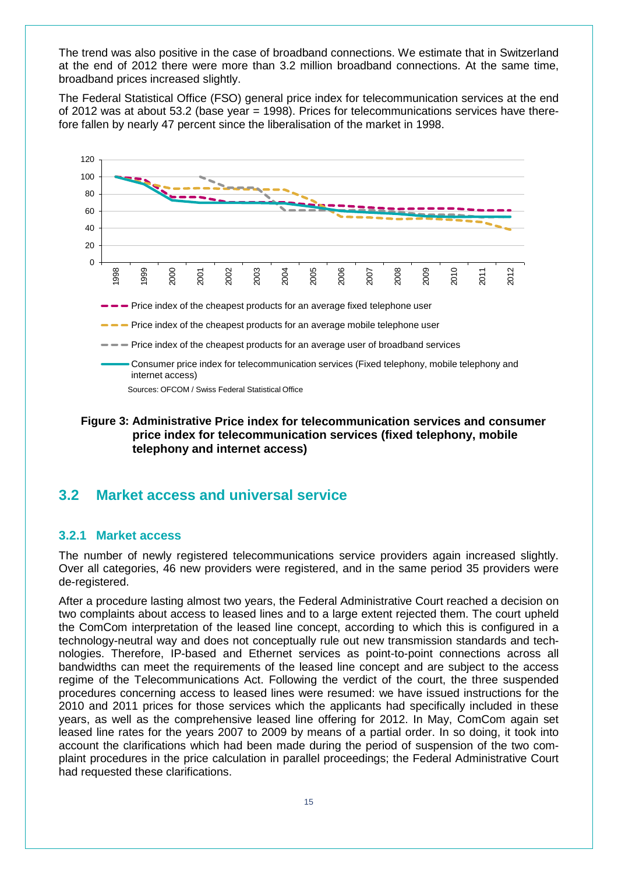The trend was also positive in the case of broadband connections. We estimate that in Switzerland at the end of 2012 there were more than 3.2 million broadband connections. At the same time, broadband prices increased slightly.

The Federal Statistical Office (FSO) general price index for telecommunication services at the end of 2012 was at about 53.2 (base year = 1998). Prices for telecommunications services have therefore fallen by nearly 47 percent since the liberalisation of the market in 1998.



#### <span id="page-14-2"></span>**Figure 3: Administrative Price index for telecommunication services and consumer price index for telecommunication services (fixed telephony, mobile telephony and internet access)**

## <span id="page-14-0"></span>**3.2 Market access and universal service**

#### <span id="page-14-1"></span>**3.2.1 Market access**

The number of newly registered telecommunications service providers again increased slightly. Over all categories, 46 new providers were registered, and in the same period 35 providers were de-registered.

After a procedure lasting almost two years, the Federal Administrative Court reached a decision on two complaints about access to leased lines and to a large extent rejected them. The court upheld the ComCom interpretation of the leased line concept, according to which this is configured in a technology-neutral way and does not conceptually rule out new transmission standards and technologies. Therefore, IP-based and Ethernet services as point-to-point connections across all bandwidths can meet the requirements of the leased line concept and are subject to the access regime of the Telecommunications Act. Following the verdict of the court, the three suspended procedures concerning access to leased lines were resumed: we have issued instructions for the 2010 and 2011 prices for those services which the applicants had specifically included in these years, as well as the comprehensive leased line offering for 2012. In May, ComCom again set leased line rates for the years 2007 to 2009 by means of a partial order. In so doing, it took into account the clarifications which had been made during the period of suspension of the two complaint procedures in the price calculation in parallel proceedings; the Federal Administrative Court had requested these clarifications.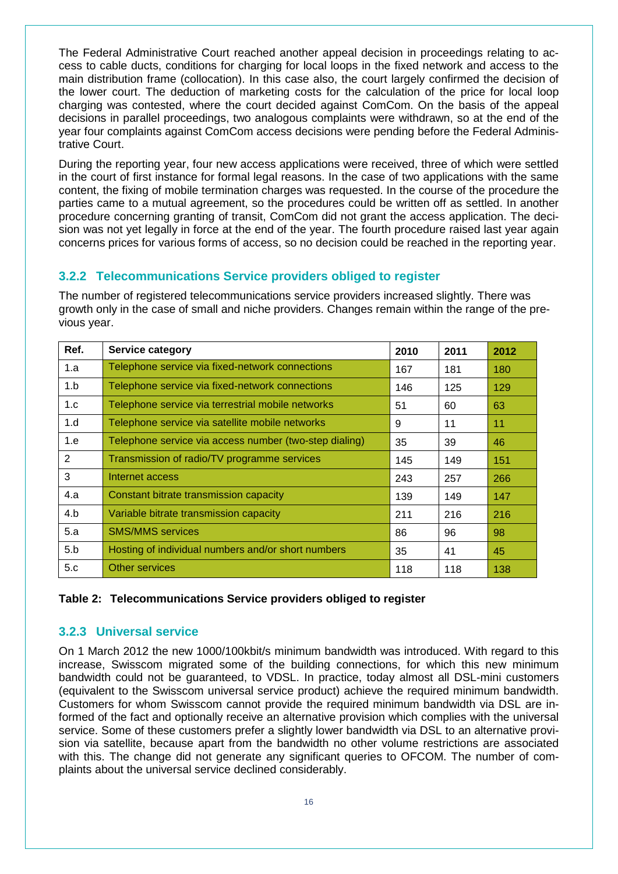The Federal Administrative Court reached another appeal decision in proceedings relating to access to cable ducts, conditions for charging for local loops in the fixed network and access to the main distribution frame (collocation). In this case also, the court largely confirmed the decision of the lower court. The deduction of marketing costs for the calculation of the price for local loop charging was contested, where the court decided against ComCom. On the basis of the appeal decisions in parallel proceedings, two analogous complaints were withdrawn, so at the end of the year four complaints against ComCom access decisions were pending before the Federal Administrative Court.

During the reporting year, four new access applications were received, three of which were settled in the court of first instance for formal legal reasons. In the case of two applications with the same content, the fixing of mobile termination charges was requested. In the course of the procedure the parties came to a mutual agreement, so the procedures could be written off as settled. In another procedure concerning granting of transit, ComCom did not grant the access application. The decision was not yet legally in force at the end of the year. The fourth procedure raised last year again concerns prices for various forms of access, so no decision could be reached in the reporting year.

#### <span id="page-15-0"></span>**3.2.2 Telecommunications Service providers obliged to register**

The number of registered telecommunications service providers increased slightly. There was growth only in the case of small and niche providers. Changes remain within the range of the previous year.

| Ref.           | Service category                                       | 2010 | 2011 | 2012 |
|----------------|--------------------------------------------------------|------|------|------|
| 1.a            | Telephone service via fixed-network connections        | 167  | 181  | 180  |
| 1.b            | Telephone service via fixed-network connections        | 146  | 125  | 129  |
| 1.c            | Telephone service via terrestrial mobile networks      | 51   | 60   | 63   |
| 1.d            | Telephone service via satellite mobile networks        | 9    | 11   | 11   |
| 1.e            | Telephone service via access number (two-step dialing) | 35   | 39   | 46   |
| $\overline{2}$ | Transmission of radio/TV programme services            | 145  | 149  | 151  |
| 3              | Internet access                                        | 243  | 257  | 266  |
| 4.a            | Constant bitrate transmission capacity                 | 139  | 149  | 147  |
| 4.b            | Variable bitrate transmission capacity                 | 211  | 216  | 216  |
| 5.a            | <b>SMS/MMS</b> services                                | 86   | 96   | 98   |
| 5.b            | Hosting of individual numbers and/or short numbers     | 35   | 41   | 45   |
| 5.c            | Other services                                         | 118  | 118  | 138  |

#### <span id="page-15-2"></span>**Table 2: Telecommunications Service providers obliged to register**

#### <span id="page-15-1"></span>**3.2.3 Universal service**

On 1 March 2012 the new 1000/100kbit/s minimum bandwidth was introduced. With regard to this increase, Swisscom migrated some of the building connections, for which this new minimum bandwidth could not be guaranteed, to VDSL. In practice, today almost all DSL-mini customers (equivalent to the Swisscom universal service product) achieve the required minimum bandwidth. Customers for whom Swisscom cannot provide the required minimum bandwidth via DSL are informed of the fact and optionally receive an alternative provision which complies with the universal service. Some of these customers prefer a slightly lower bandwidth via DSL to an alternative provision via satellite, because apart from the bandwidth no other volume restrictions are associated with this. The change did not generate any significant queries to OFCOM. The number of complaints about the universal service declined considerably.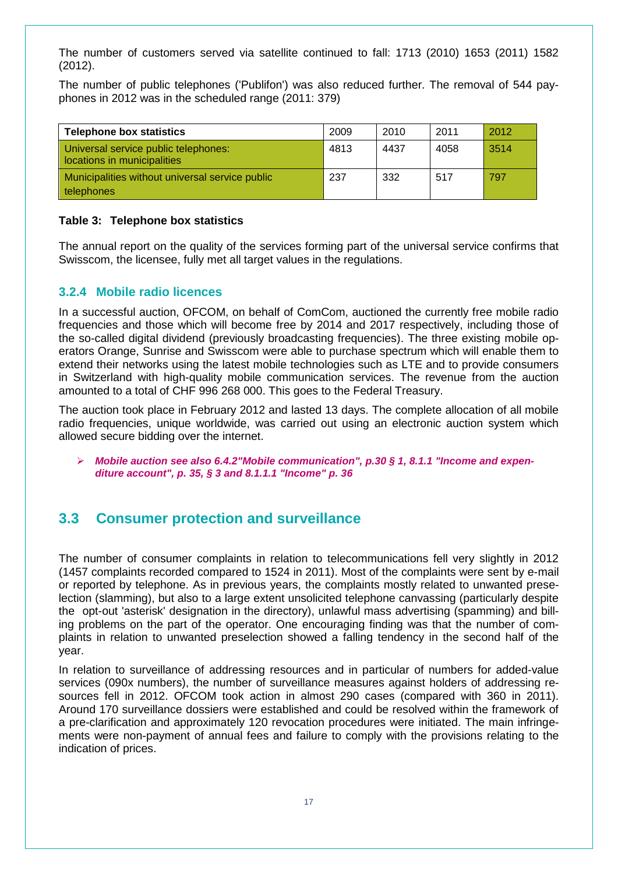The number of customers served via satellite continued to fall: 1713 (2010) 1653 (2011) 1582 (2012).

The number of public telephones ('Publifon') was also reduced further. The removal of 544 payphones in 2012 was in the scheduled range (2011: 379)

| <b>Telephone box statistics</b>                                     | 2009 | 2010 | 2011 | 2012 |
|---------------------------------------------------------------------|------|------|------|------|
| Universal service public telephones:<br>locations in municipalities | 4813 | 4437 | 4058 | 3514 |
| Municipalities without universal service public<br>telephones       | 237  | 332  | 517  | 797  |

#### <span id="page-16-2"></span>**Table 3: Telephone box statistics**

The annual report on the quality of the services forming part of the universal service confirms that Swisscom, the licensee, fully met all target values in the regulations.

#### <span id="page-16-0"></span>**3.2.4 Mobile radio licences**

In a successful auction, OFCOM, on behalf of ComCom, auctioned the currently free mobile radio frequencies and those which will become free by 2014 and 2017 respectively, including those of the so-called digital dividend (previously broadcasting frequencies). The three existing mobile operators Orange, Sunrise and Swisscom were able to purchase spectrum which will enable them to extend their networks using the latest mobile technologies such as LTE and to provide consumers in Switzerland with high-quality mobile communication services. The revenue from the auction amounted to a total of CHF 996 268 000. This goes to the Federal Treasury.

The auction took place in February 2012 and lasted 13 days. The complete allocation of all mobile radio frequencies, unique worldwide, was carried out using an electronic auction system which allowed secure bidding over the internet.

 *Mobile auction see also 6.4.2"Mobile communication", p.30 § 1, 8.1.1 "Income and expenditure account", p. 35, § 3 and 8.1.1.1 "Income" p. 36*

## <span id="page-16-1"></span>**3.3 Consumer protection and surveillance**

The number of consumer complaints in relation to telecommunications fell very slightly in 2012 (1457 complaints recorded compared to 1524 in 2011). Most of the complaints were sent by e-mail or reported by telephone. As in previous years, the complaints mostly related to unwanted preselection (slamming), but also to a large extent unsolicited telephone canvassing (particularly despite the opt-out 'asterisk' designation in the directory), unlawful mass advertising (spamming) and billing problems on the part of the operator. One encouraging finding was that the number of complaints in relation to unwanted preselection showed a falling tendency in the second half of the year.

In relation to surveillance of addressing resources and in particular of numbers for added-value services (090x numbers), the number of surveillance measures against holders of addressing resources fell in 2012. OFCOM took action in almost 290 cases (compared with 360 in 2011). Around 170 surveillance dossiers were established and could be resolved within the framework of a pre-clarification and approximately 120 revocation procedures were initiated. The main infringements were non-payment of annual fees and failure to comply with the provisions relating to the indication of prices.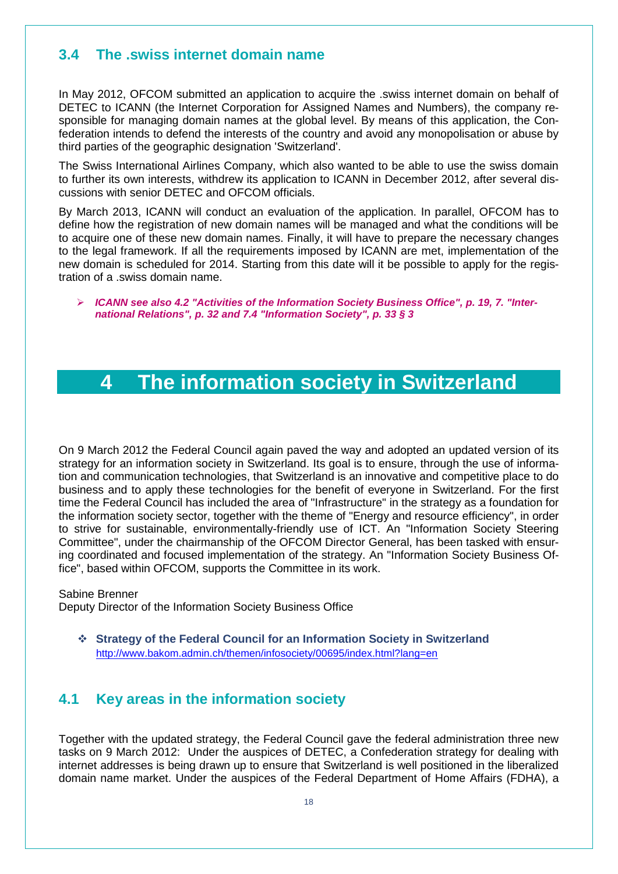## <span id="page-17-0"></span>**3.4 The .swiss internet domain name**

In May 2012, OFCOM submitted an application to acquire the .swiss internet domain on behalf of DETEC to ICANN (the Internet Corporation for Assigned Names and Numbers), the company responsible for managing domain names at the global level. By means of this application, the Confederation intends to defend the interests of the country and avoid any monopolisation or abuse by third parties of the geographic designation 'Switzerland'.

The Swiss International Airlines Company, which also wanted to be able to use the swiss domain to further its own interests, withdrew its application to ICANN in December 2012, after several discussions with senior DETEC and OFCOM officials.

By March 2013, ICANN will conduct an evaluation of the application. In parallel, OFCOM has to define how the registration of new domain names will be managed and what the conditions will be to acquire one of these new domain names. Finally, it will have to prepare the necessary changes to the legal framework. If all the requirements imposed by ICANN are met, implementation of the new domain is scheduled for 2014. Starting from this date will it be possible to apply for the registration of a .swiss domain name.

<span id="page-17-1"></span> *ICANN see also 4.2 "Activities of the Information Society Business Office", p. 19, 7. "International Relations", p. 32 and 7.4 "Information Society", p. 33 § 3* 

## **4 The information society in Switzerland**

On 9 March 2012 the Federal Council again paved the way and adopted an updated version of its strategy for an information society in Switzerland. Its goal is to ensure, through the use of information and communication technologies, that Switzerland is an innovative and competitive place to do business and to apply these technologies for the benefit of everyone in Switzerland. For the first time the Federal Council has included the area of "Infrastructure" in the strategy as a foundation for the information society sector, together with the theme of "Energy and resource efficiency", in order to strive for sustainable, environmentally-friendly use of ICT. An "Information Society Steering Committee", under the chairmanship of the OFCOM Director General, has been tasked with ensuring coordinated and focused implementation of the strategy. An "Information Society Business Office", based within OFCOM, supports the Committee in its work.

#### Sabine Brenner

Deputy Director of the Information Society Business Office

 **Strategy of the Federal Council for an Information Society in Switzerland** <http://www.bakom.admin.ch/themen/infosociety/00695/index.html?lang=en>

## <span id="page-17-2"></span>**4.1 Key areas in the information society**

Together with the updated strategy, the Federal Council gave the federal administration three new tasks on 9 March 2012: Under the auspices of DETEC, a Confederation strategy for dealing with internet addresses is being drawn up to ensure that Switzerland is well positioned in the liberalized domain name market. Under the auspices of the Federal Department of Home Affairs (FDHA), a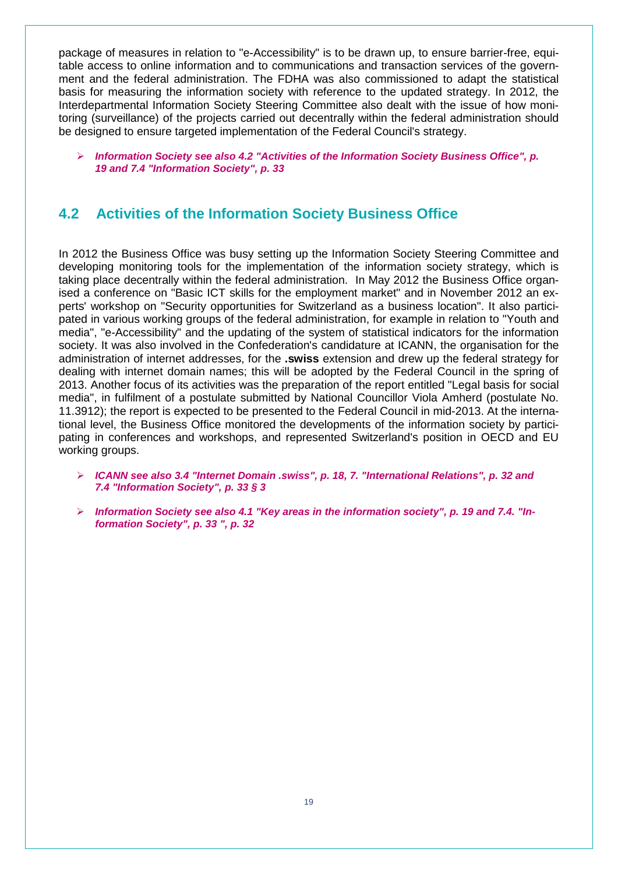package of measures in relation to "e-Accessibility" is to be drawn up, to ensure barrier-free, equitable access to online information and to communications and transaction services of the government and the federal administration. The FDHA was also commissioned to adapt the statistical basis for measuring the information society with reference to the updated strategy. In 2012, the Interdepartmental Information Society Steering Committee also dealt with the issue of how monitoring (surveillance) of the projects carried out decentrally within the federal administration should be designed to ensure targeted implementation of the Federal Council's strategy.

 *Information Society see also 4.2 "Activities of the Information Society Business Office", p. 19 and 7.4 "Information Society", p. 33*

### <span id="page-18-0"></span>**4.2 Activities of the Information Society Business Office**

In 2012 the Business Office was busy setting up the Information Society Steering Committee and developing monitoring tools for the implementation of the information society strategy, which is taking place decentrally within the federal administration. In May 2012 the Business Office organised a conference on "Basic ICT skills for the employment market" and in November 2012 an experts' workshop on "Security opportunities for Switzerland as a business location". It also participated in various working groups of the federal administration, for example in relation to "Youth and media", "e-Accessibility" and the updating of the system of statistical indicators for the information society. It was also involved in the Confederation's candidature at ICANN, the organisation for the administration of internet addresses, for the **.swiss** extension and drew up the federal strategy for dealing with internet domain names; this will be adopted by the Federal Council in the spring of 2013. Another focus of its activities was the preparation of the report entitled "Legal basis for social media", in fulfilment of a postulate submitted by National Councillor Viola Amherd (postulate No. 11.3912); the report is expected to be presented to the Federal Council in mid-2013. At the international level, the Business Office monitored the developments of the information society by participating in conferences and workshops, and represented Switzerland's position in OECD and EU working groups.

- *ICANN see also 3.4 "Internet Domain .swiss", p. 18, 7. "International Relations", p. 32 and 7.4 "Information Society", p. 33 § 3*
- *Information Society see also 4.1 "Key areas in the information society", p. 19 and 7.4. "Information Society", p. 33 ", p. 32*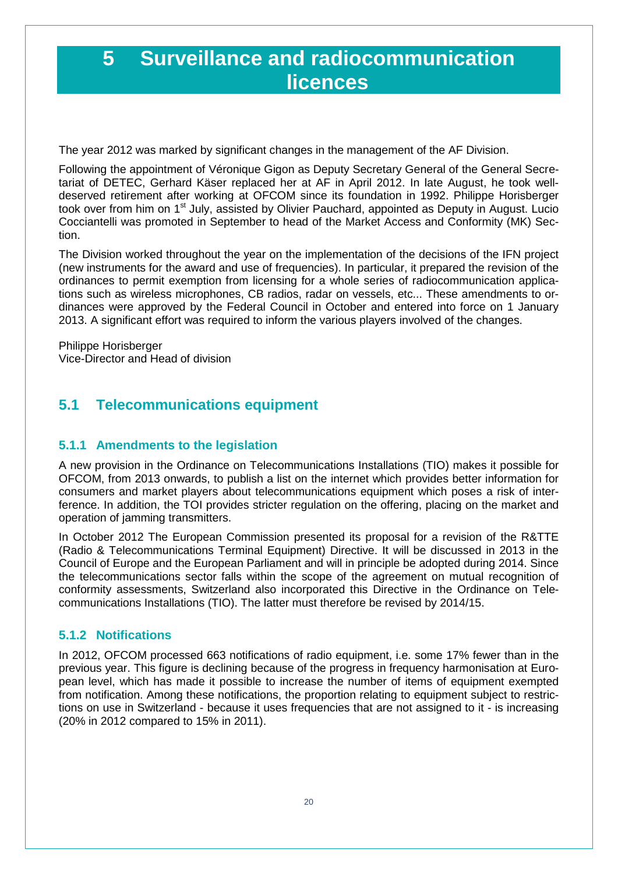## <span id="page-19-0"></span>**5 Surveillance and radiocommunication licences**

The year 2012 was marked by significant changes in the management of the AF Division.

Following the appointment of Véronique Gigon as Deputy Secretary General of the General Secretariat of DETEC, Gerhard Käser replaced her at AF in April 2012. In late August, he took welldeserved retirement after working at OFCOM since its foundation in 1992. Philippe Horisberger took over from him on 1<sup>st</sup> July, assisted by Olivier Pauchard, appointed as Deputy in August. Lucio Cocciantelli was promoted in September to head of the Market Access and Conformity (MK) Section.

The Division worked throughout the year on the implementation of the decisions of the IFN project (new instruments for the award and use of frequencies). In particular, it prepared the revision of the ordinances to permit exemption from licensing for a whole series of radiocommunication applications such as wireless microphones, CB radios, radar on vessels, etc... These amendments to ordinances were approved by the Federal Council in October and entered into force on 1 January 2013. A significant effort was required to inform the various players involved of the changes.

Philippe Horisberger Vice-Director and Head of division

## <span id="page-19-1"></span>**5.1 Telecommunications equipment**

#### <span id="page-19-2"></span>**5.1.1 Amendments to the legislation**

A new provision in the Ordinance on Telecommunications Installations (TIO) makes it possible for OFCOM, from 2013 onwards, to publish a list on the internet which provides better information for consumers and market players about telecommunications equipment which poses a risk of interference. In addition, the TOI provides stricter regulation on the offering, placing on the market and operation of jamming transmitters.

In October 2012 The European Commission presented its proposal for a revision of the R&TTE (Radio & Telecommunications Terminal Equipment) Directive. It will be discussed in 2013 in the Council of Europe and the European Parliament and will in principle be adopted during 2014. Since the telecommunications sector falls within the scope of the agreement on mutual recognition of conformity assessments, Switzerland also incorporated this Directive in the Ordinance on Telecommunications Installations (TIO). The latter must therefore be revised by 2014/15.

### <span id="page-19-3"></span>**5.1.2 Notifications**

In 2012, OFCOM processed 663 notifications of radio equipment, i.e. some 17% fewer than in the previous year. This figure is declining because of the progress in frequency harmonisation at European level, which has made it possible to increase the number of items of equipment exempted from notification. Among these notifications, the proportion relating to equipment subject to restrictions on use in Switzerland - because it uses frequencies that are not assigned to it - is increasing (20% in 2012 compared to 15% in 2011).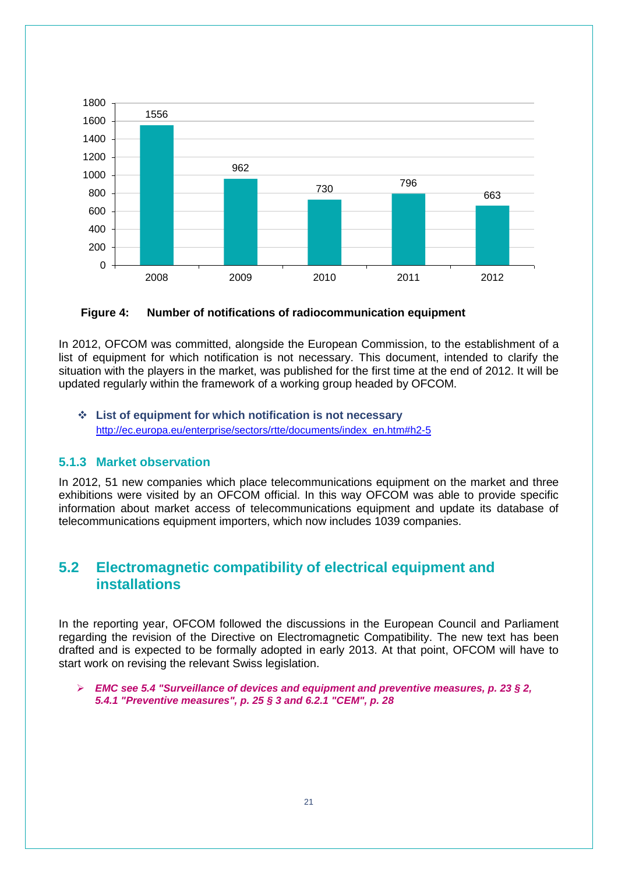

<span id="page-20-2"></span>**Figure 4: Number of notifications of radiocommunication equipment**

In 2012, OFCOM was committed, alongside the European Commission, to the establishment of a list of equipment for which notification is not necessary. This document, intended to clarify the situation with the players in the market, was published for the first time at the end of 2012. It will be updated regularly within the framework of a working group headed by OFCOM.

 **List of equipment for which notification is not necessary** [http://ec.europa.eu/enterprise/sectors/rtte/documents/index\\_en.htm#h2-5](http://ec.europa.eu/enterprise/sectors/rtte/documents/index_en.htm#h2-5)

#### <span id="page-20-0"></span>**5.1.3 Market observation**

In 2012, 51 new companies which place telecommunications equipment on the market and three exhibitions were visited by an OFCOM official. In this way OFCOM was able to provide specific information about market access of telecommunications equipment and update its database of telecommunications equipment importers, which now includes 1039 companies.

## <span id="page-20-1"></span>**5.2 Electromagnetic compatibility of electrical equipment and installations**

In the reporting year, OFCOM followed the discussions in the European Council and Parliament regarding the revision of the Directive on Electromagnetic Compatibility. The new text has been drafted and is expected to be formally adopted in early 2013. At that point, OFCOM will have to start work on revising the relevant Swiss legislation.

#### *EMC see 5.4 "Surveillance of devices and equipment and preventive measures, p. 23 § 2, 5.4.1 "Preventive measures", p. 25 § 3 and 6.2.1 "CEM", p. 28*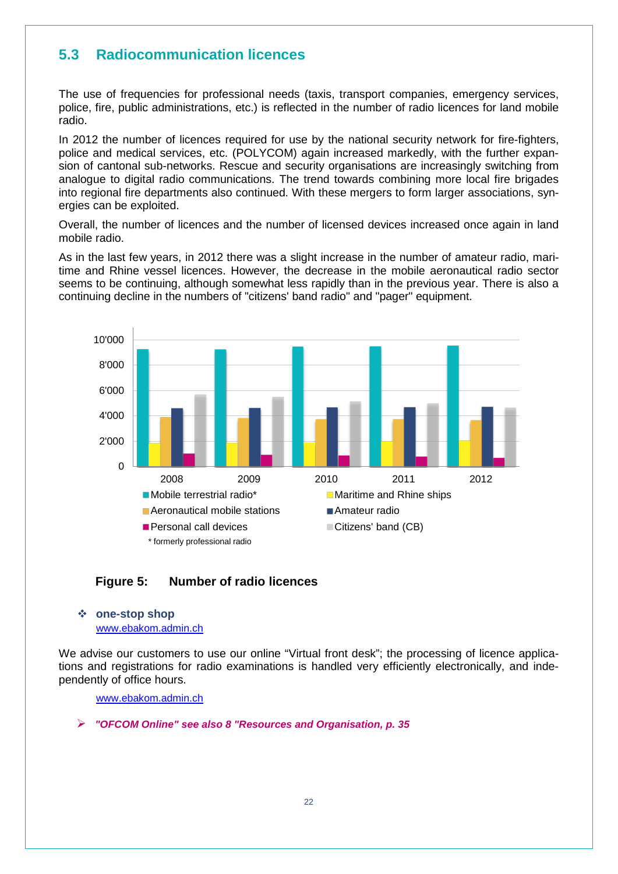## <span id="page-21-0"></span>**5.3 Radiocommunication licences**

The use of frequencies for professional needs (taxis, transport companies, emergency services, police, fire, public administrations, etc.) is reflected in the number of radio licences for land mobile radio.

In 2012 the number of licences required for use by the national security network for fire-fighters, police and medical services, etc. (POLYCOM) again increased markedly, with the further expansion of cantonal sub-networks. Rescue and security organisations are increasingly switching from analogue to digital radio communications. The trend towards combining more local fire brigades into regional fire departments also continued. With these mergers to form larger associations, synergies can be exploited.

Overall, the number of licences and the number of licensed devices increased once again in land mobile radio.

As in the last few years, in 2012 there was a slight increase in the number of amateur radio, maritime and Rhine vessel licences. However, the decrease in the mobile aeronautical radio sector seems to be continuing, although somewhat less rapidly than in the previous year. There is also a continuing decline in the numbers of "citizens' band radio" and "pager" equipment.



<span id="page-21-1"></span>

#### **one-stop shop**

[www.ebakom.admin.ch](http://www.ebakom.admin.ch/)

We advise our customers to use our online "Virtual front desk"; the processing of licence applications and registrations for radio examinations is handled very efficiently electronically, and independently of office hours.

[www.ebakom.admin.ch](http://www.ebakom.admin.ch/)

*"OFCOM Online" see also 8 "Resources and Organisation, p. 35*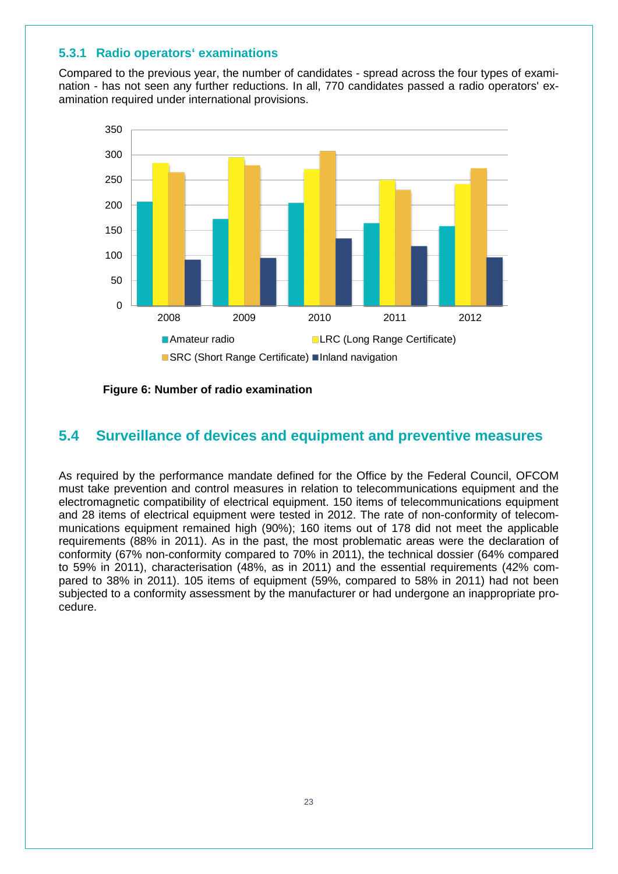#### <span id="page-22-0"></span>**5.3.1 Radio operators' examinations**

Compared to the previous year, the number of candidates - spread across the four types of examination - has not seen any further reductions. In all, 770 candidates passed a radio operators' examination required under international provisions.



<span id="page-22-2"></span>**Figure 6: Number of radio examination**

### <span id="page-22-1"></span>**5.4 Surveillance of devices and equipment and preventive measures**

As required by the performance mandate defined for the Office by the Federal Council, OFCOM must take prevention and control measures in relation to telecommunications equipment and the electromagnetic compatibility of electrical equipment. 150 items of telecommunications equipment and 28 items of electrical equipment were tested in 2012. The rate of non-conformity of telecommunications equipment remained high (90%); 160 items out of 178 did not meet the applicable requirements (88% in 2011). As in the past, the most problematic areas were the declaration of conformity (67% non-conformity compared to 70% in 2011), the technical dossier (64% compared to 59% in 2011), characterisation (48%, as in 2011) and the essential requirements (42% compared to 38% in 2011). 105 items of equipment (59%, compared to 58% in 2011) had not been subjected to a conformity assessment by the manufacturer or had undergone an inappropriate procedure.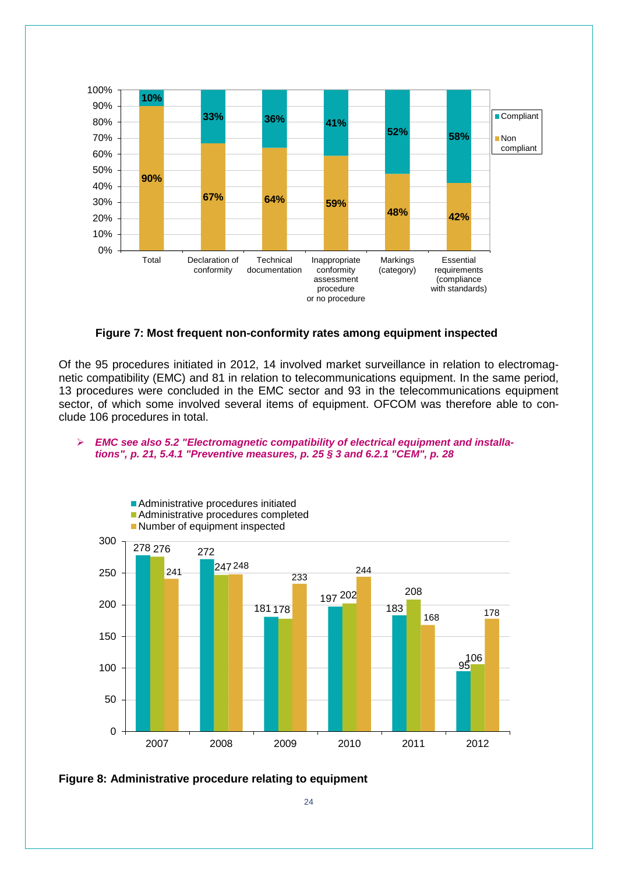

**Figure 7: Most frequent non-conformity rates among equipment inspected** 

<span id="page-23-0"></span>Of the 95 procedures initiated in 2012, 14 involved market surveillance in relation to electromagnetic compatibility (EMC) and 81 in relation to telecommunications equipment. In the same period, 13 procedures were concluded in the EMC sector and 93 in the telecommunications equipment sector, of which some involved several items of equipment. OFCOM was therefore able to conclude 106 procedures in total.

#### *EMC see also 5.2 "Electromagnetic compatibility of electrical equipment and installations", p. 21, 5.4.1 "Preventive measures, p. 25 § 3 and 6.2.1 "CEM", p. 28*



<span id="page-23-1"></span>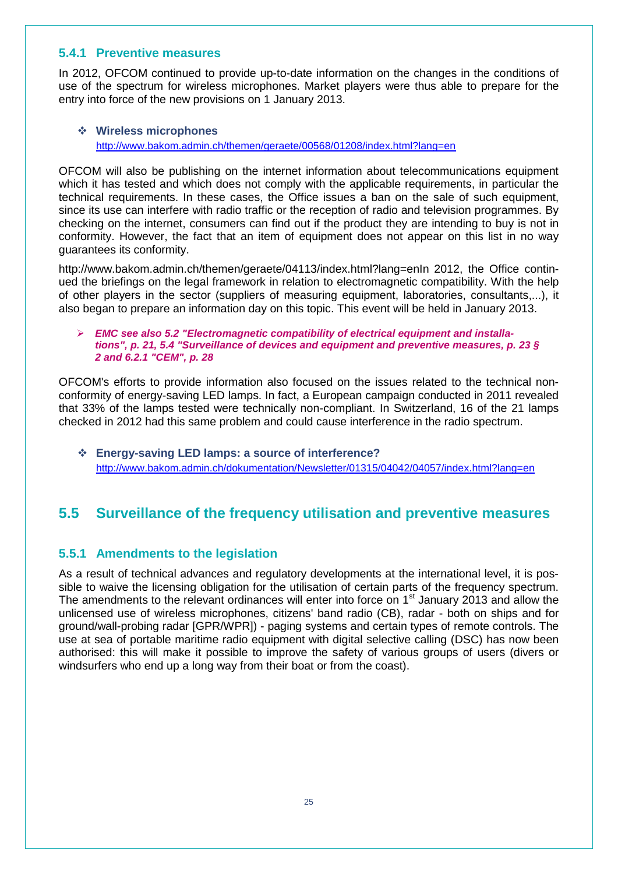#### <span id="page-24-0"></span>**5.4.1 Preventive measures**

In 2012, OFCOM continued to provide up-to-date information on the changes in the conditions of use of the spectrum for wireless microphones. Market players were thus able to prepare for the entry into force of the new provisions on 1 January 2013.

#### **Wireless microphones**

<http://www.bakom.admin.ch/themen/geraete/00568/01208/index.html?lang=en>

OFCOM will also be publishing on the internet information about telecommunications equipment which it has tested and which does not comply with the applicable requirements, in particular the technical requirements. In these cases, the Office issues a ban on the sale of such equipment, since its use can interfere with radio traffic or the reception of radio and television programmes. By checking on the internet, consumers can find out if the product they are intending to buy is not in conformity. However, the fact that an item of equipment does not appear on this list in no way guarantees its conformity.

http://www.bakom.admin.ch/themen/geraete/04113/index.html?lang=enIn 2012, the Office continued the briefings on the legal framework in relation to electromagnetic compatibility. With the help of other players in the sector (suppliers of measuring equipment, laboratories, consultants,...), it also began to prepare an information day on this topic. This event will be held in January 2013.

#### *EMC see also 5.2 "Electromagnetic compatibility of electrical equipment and installations", p. 21, 5.4 "Surveillance of devices and equipment and preventive measures, p. 23 § 2 and 6.2.1 "CEM", p. 28*

OFCOM's efforts to provide information also focused on the issues related to the technical nonconformity of energy-saving LED lamps. In fact, a European campaign conducted in 2011 revealed that 33% of the lamps tested were technically non-compliant. In Switzerland, 16 of the 21 lamps checked in 2012 had this same problem and could cause interference in the radio spectrum.

 **Energy-saving LED lamps: a source of interference?**  <http://www.bakom.admin.ch/dokumentation/Newsletter/01315/04042/04057/index.html?lang=en>

## <span id="page-24-1"></span>**5.5 Surveillance of the frequency utilisation and preventive measures**

#### <span id="page-24-2"></span>**5.5.1 Amendments to the legislation**

As a result of technical advances and regulatory developments at the international level, it is possible to waive the licensing obligation for the utilisation of certain parts of the frequency spectrum. The amendments to the relevant ordinances will enter into force on 1<sup>st</sup> January 2013 and allow the unlicensed use of wireless microphones, citizens' band radio (CB), radar - both on ships and for ground/wall-probing radar [GPR/WPR]) - paging systems and certain types of remote controls. The use at sea of portable maritime radio equipment with digital selective calling (DSC) has now been authorised: this will make it possible to improve the safety of various groups of users (divers or windsurfers who end up a long way from their boat or from the coast).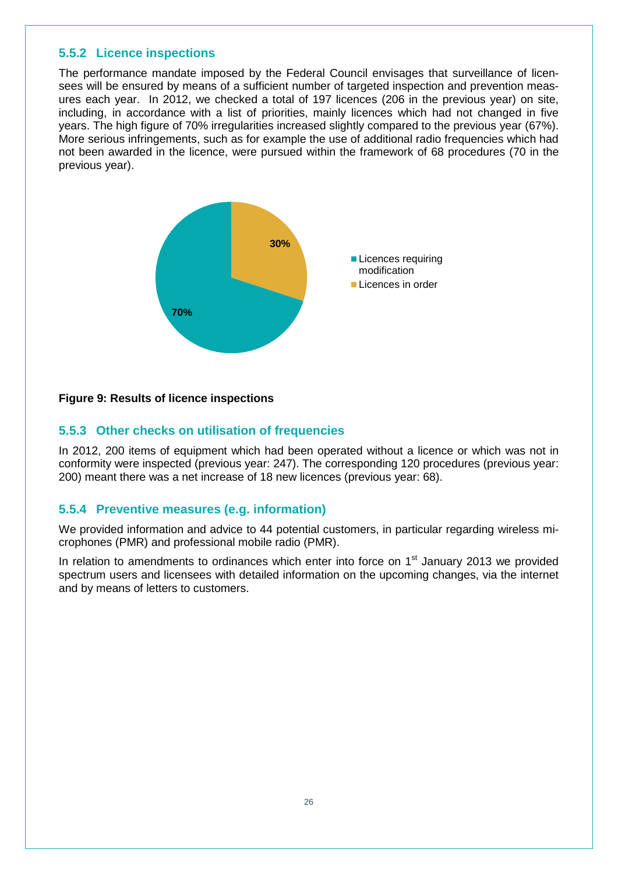#### <span id="page-25-0"></span>**5.5.2 Licence inspections**

The performance mandate imposed by the Federal Council envisages that surveillance of licensees will be ensured by means of a sufficient number of targeted inspection and prevention measures each year. In 2012, we checked a total of 197 licences (206 in the previous year) on site, including, in accordance with a list of priorities, mainly licences which had not changed in five years. The high figure of 70% irregularities increased slightly compared to the previous year (67%). More serious infringements, such as for example the use of additional radio frequencies which had not been awarded in the licence, were pursued within the framework of 68 procedures (70 in the previous year).



#### <span id="page-25-3"></span>**Figure 9: Results of licence inspections**

#### <span id="page-25-1"></span>**5.5.3 Other checks on utilisation of frequencies**

In 2012, 200 items of equipment which had been operated without a licence or which was not in conformity were inspected (previous year: 247). The corresponding 120 procedures (previous year: 200) meant there was a net increase of 18 new licences (previous year: 68).

#### <span id="page-25-2"></span>**5.5.4 Preventive measures (e.g. information)**

We provided information and advice to 44 potential customers, in particular regarding wireless microphones (PMR) and professional mobile radio (PMR).

In relation to amendments to ordinances which enter into force on  $1<sup>st</sup>$  January 2013 we provided spectrum users and licensees with detailed information on the upcoming changes, via the internet and by means of letters to customers.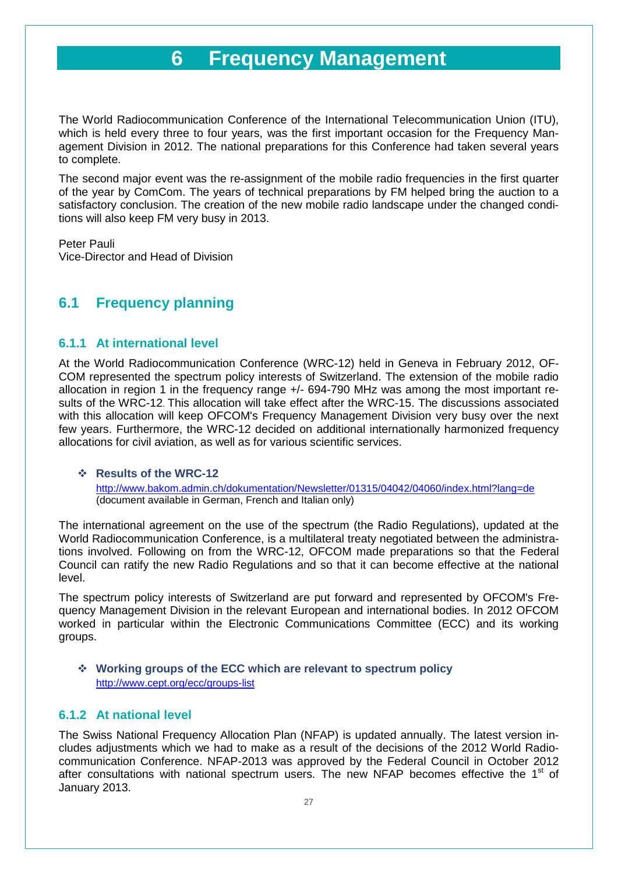## **6 Frequency Management**

<span id="page-26-0"></span>The World Radiocommunication Conference of the International Telecommunication Union (ITU), which is held every three to four years, was the first important occasion for the Frequency Management Division in 2012. The national preparations for this Conference had taken several years to complete.

The second major event was the re-assignment of the mobile radio frequencies in the first quarter of the year by ComCom. The years of technical preparations by FM helped bring the auction to a satisfactory conclusion. The creation of the new mobile radio landscape under the changed conditions will also keep FM very busy in 2013.

Peter Pauli Vice-Director and Head of Division

## <span id="page-26-1"></span>**6.1 Frequency planning**

#### <span id="page-26-2"></span>**6.1.1 At international level**

At the World Radiocommunication Conference (WRC-12) held in Geneva in February 2012, OF-COM represented the spectrum policy interests of Switzerland. The extension of the mobile radio allocation in region 1 in the frequency range +/- 694-790 MHz was among the most important results of the WRC-12. This allocation will take effect after the WRC-15. The discussions associated with this allocation will keep OFCOM's Frequency Management Division very busy over the next few years. Furthermore, the WRC-12 decided on additional internationally harmonized frequency allocations for civil aviation, as well as for various scientific services.

#### **Results of the WRC-12**

<http://www.bakom.admin.ch/dokumentation/Newsletter/01315/04042/04060/index.html?lang=de> (document available in German, French and Italian only)

The international agreement on the use of the spectrum (the Radio Regulations), updated at the World Radiocommunication Conference, is a multilateral treaty negotiated between the administrations involved. Following on from the WRC-12, OFCOM made preparations so that the Federal Council can ratify the new Radio Regulations and so that it can become effective at the national level.

The spectrum policy interests of Switzerland are put forward and represented by OFCOM's Frequency Management Division in the relevant European and international bodies. In 2012 OFCOM worked in particular within the Electronic Communications Committee (ECC) and its working groups.

#### **Working groups of the ECC which are relevant to spectrum policy**  <http://www.cept.org/ecc/groups-list>

#### <span id="page-26-3"></span>**6.1.2 At national level**

The Swiss National Frequency Allocation Plan (NFAP) is updated annually. The latest version includes adjustments which we had to make as a result of the decisions of the 2012 World Radiocommunication Conference. NFAP-2013 was approved by the Federal Council in October 2012 after consultations with national spectrum users. The new NFAP becomes effective the  $1<sup>st</sup>$  of January 2013.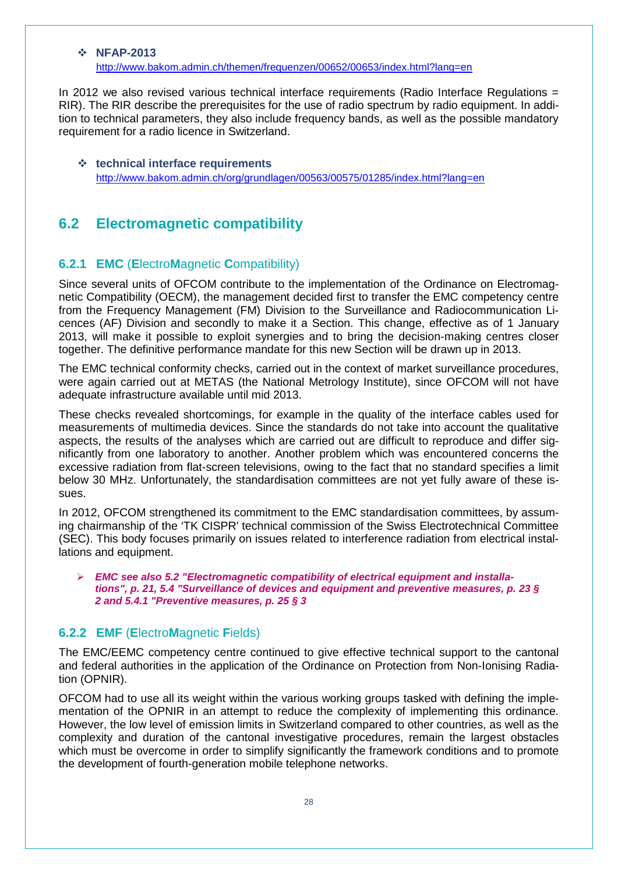#### **NFAP-2013**

<http://www.bakom.admin.ch/themen/frequenzen/00652/00653/index.html?lang=en>

In 2012 we also revised various technical interface requirements (Radio Interface Regulations = RIR). The RIR describe the prerequisites for the use of radio spectrum by radio equipment. In addition to technical parameters, they also include frequency bands, as well as the possible mandatory requirement for a radio licence in Switzerland.

#### **technical interface requirements** <http://www.bakom.admin.ch/org/grundlagen/00563/00575/01285/index.html?lang=en>

### <span id="page-27-0"></span>**6.2 Electromagnetic compatibility**

#### <span id="page-27-1"></span>**6.2.1 EMC** (**E**lectro**M**agnetic **C**ompatibility)

Since several units of OFCOM contribute to the implementation of the Ordinance on Electromagnetic Compatibility (OECM), the management decided first to transfer the EMC competency centre from the Frequency Management (FM) Division to the Surveillance and Radiocommunication Licences (AF) Division and secondly to make it a Section. This change, effective as of 1 January 2013, will make it possible to exploit synergies and to bring the decision-making centres closer together. The definitive performance mandate for this new Section will be drawn up in 2013.

The EMC technical conformity checks, carried out in the context of market surveillance procedures, were again carried out at METAS (the National Metrology Institute), since OFCOM will not have adequate infrastructure available until mid 2013.

These checks revealed shortcomings, for example in the quality of the interface cables used for measurements of multimedia devices. Since the standards do not take into account the qualitative aspects, the results of the analyses which are carried out are difficult to reproduce and differ significantly from one laboratory to another. Another problem which was encountered concerns the excessive radiation from flat-screen televisions, owing to the fact that no standard specifies a limit below 30 MHz. Unfortunately, the standardisation committees are not yet fully aware of these issues.

In 2012, OFCOM strengthened its commitment to the EMC standardisation committees, by assuming chairmanship of the 'TK CISPR' technical commission of the Swiss Electrotechnical Committee (SEC). This body focuses primarily on issues related to interference radiation from electrical installations and equipment.

#### *EMC see also 5.2 "Electromagnetic compatibility of electrical equipment and installations", p. 21, 5.4 "Surveillance of devices and equipment and preventive measures, p. 23 § 2 and 5.4.1 "Preventive measures, p. 25 § 3*

#### <span id="page-27-2"></span>**6.2.2 EMF** (**E**lectro**M**agnetic **F**ields)

The EMC/EEMC competency centre continued to give effective technical support to the cantonal and federal authorities in the application of the Ordinance on Protection from Non-Ionising Radiation (OPNIR).

OFCOM had to use all its weight within the various working groups tasked with defining the implementation of the OPNIR in an attempt to reduce the complexity of implementing this ordinance. However, the low level of emission limits in Switzerland compared to other countries, as well as the complexity and duration of the cantonal investigative procedures, remain the largest obstacles which must be overcome in order to simplify significantly the framework conditions and to promote the development of fourth-generation mobile telephone networks.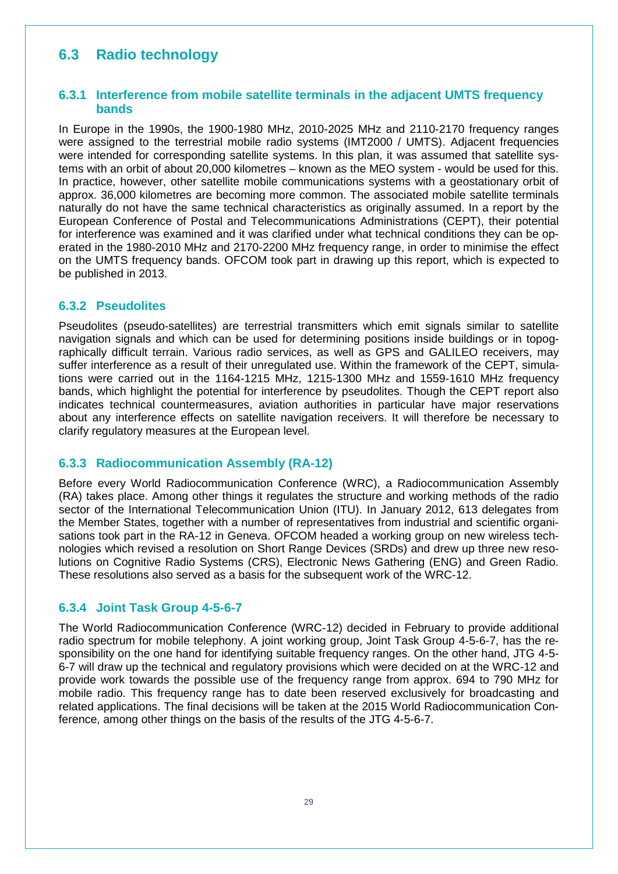## <span id="page-28-0"></span>**6.3 Radio technology**

#### <span id="page-28-1"></span>**6.3.1 Interference from mobile satellite terminals in the adjacent UMTS frequency bands**

In Europe in the 1990s, the 1900-1980 MHz, 2010-2025 MHz and 2110-2170 frequency ranges were assigned to the terrestrial mobile radio systems (IMT2000 / UMTS). Adjacent frequencies were intended for corresponding satellite systems. In this plan, it was assumed that satellite systems with an orbit of about 20,000 kilometres – known as the MEO system - would be used for this. In practice, however, other satellite mobile communications systems with a geostationary orbit of approx. 36,000 kilometres are becoming more common. The associated mobile satellite terminals naturally do not have the same technical characteristics as originally assumed. In a report by the European Conference of Postal and Telecommunications Administrations (CEPT), their potential for interference was examined and it was clarified under what technical conditions they can be operated in the 1980-2010 MHz and 2170-2200 MHz frequency range, in order to minimise the effect on the UMTS frequency bands. OFCOM took part in drawing up this report, which is expected to be published in 2013.

#### <span id="page-28-2"></span>**6.3.2 Pseudolites**

Pseudolites (pseudo-satellites) are terrestrial transmitters which emit signals similar to satellite navigation signals and which can be used for determining positions inside buildings or in topographically difficult terrain. Various radio services, as well as GPS and GALILEO receivers, may suffer interference as a result of their unregulated use. Within the framework of the CEPT, simulations were carried out in the 1164-1215 MHz, 1215-1300 MHz and 1559-1610 MHz frequency bands, which highlight the potential for interference by pseudolites. Though the CEPT report also indicates technical countermeasures, aviation authorities in particular have major reservations about any interference effects on satellite navigation receivers. It will therefore be necessary to clarify regulatory measures at the European level.

#### <span id="page-28-3"></span>**6.3.3 Radiocommunication Assembly (RA-12)**

Before every World Radiocommunication Conference (WRC), a Radiocommunication Assembly (RA) takes place. Among other things it regulates the structure and working methods of the radio sector of the International Telecommunication Union (ITU). In January 2012, 613 delegates from the Member States, together with a number of representatives from industrial and scientific organisations took part in the RA-12 in Geneva. OFCOM headed a working group on new wireless technologies which revised a resolution on Short Range Devices (SRDs) and drew up three new resolutions on Cognitive Radio Systems (CRS), Electronic News Gathering (ENG) and Green Radio. These resolutions also served as a basis for the subsequent work of the WRC-12.

#### <span id="page-28-4"></span>**6.3.4 Joint Task Group 4-5-6-7**

The World Radiocommunication Conference (WRC-12) decided in February to provide additional radio spectrum for mobile telephony. A joint working group, Joint Task Group 4-5-6-7, has the responsibility on the one hand for identifying suitable frequency ranges. On the other hand, JTG 4-5- 6-7 will draw up the technical and regulatory provisions which were decided on at the WRC-12 and provide work towards the possible use of the frequency range from approx. 694 to 790 MHz for mobile radio. This frequency range has to date been reserved exclusively for broadcasting and related applications. The final decisions will be taken at the 2015 World Radiocommunication Conference, among other things on the basis of the results of the JTG 4-5-6-7.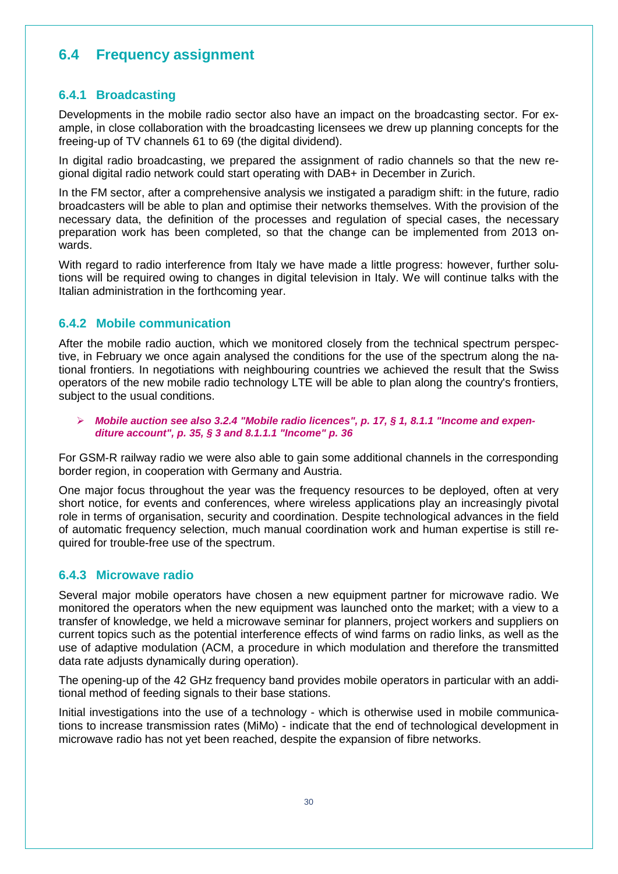## <span id="page-29-0"></span>**6.4 Frequency assignment**

#### <span id="page-29-1"></span>**6.4.1 Broadcasting**

Developments in the mobile radio sector also have an impact on the broadcasting sector. For example, in close collaboration with the broadcasting licensees we drew up planning concepts for the freeing-up of TV channels 61 to 69 (the digital dividend).

In digital radio broadcasting, we prepared the assignment of radio channels so that the new regional digital radio network could start operating with DAB+ in December in Zurich.

In the FM sector, after a comprehensive analysis we instigated a paradigm shift: in the future, radio broadcasters will be able to plan and optimise their networks themselves. With the provision of the necessary data, the definition of the processes and regulation of special cases, the necessary preparation work has been completed, so that the change can be implemented from 2013 onwards.

With regard to radio interference from Italy we have made a little progress: however, further solutions will be required owing to changes in digital television in Italy. We will continue talks with the Italian administration in the forthcoming year.

#### <span id="page-29-2"></span>**6.4.2 Mobile communication**

After the mobile radio auction, which we monitored closely from the technical spectrum perspective, in February we once again analysed the conditions for the use of the spectrum along the national frontiers. In negotiations with neighbouring countries we achieved the result that the Swiss operators of the new mobile radio technology LTE will be able to plan along the country's frontiers, subject to the usual conditions.

 *Mobile auction see also 3.2.4 "Mobile radio licences", p. 17, § 1, 8.1.1 "Income and expenditure account", p. 35, § 3 and 8.1.1.1 "Income" p. 36*

For GSM-R railway radio we were also able to gain some additional channels in the corresponding border region, in cooperation with Germany and Austria.

One major focus throughout the year was the frequency resources to be deployed, often at very short notice, for events and conferences, where wireless applications play an increasingly pivotal role in terms of organisation, security and coordination. Despite technological advances in the field of automatic frequency selection, much manual coordination work and human expertise is still required for trouble-free use of the spectrum.

#### <span id="page-29-3"></span>**6.4.3 Microwave radio**

Several major mobile operators have chosen a new equipment partner for microwave radio. We monitored the operators when the new equipment was launched onto the market; with a view to a transfer of knowledge, we held a microwave seminar for planners, project workers and suppliers on current topics such as the potential interference effects of wind farms on radio links, as well as the use of adaptive modulation (ACM, a procedure in which modulation and therefore the transmitted data rate adjusts dynamically during operation).

The opening-up of the 42 GHz frequency band provides mobile operators in particular with an additional method of feeding signals to their base stations.

Initial investigations into the use of a technology - which is otherwise used in mobile communications to increase transmission rates (MiMo) - indicate that the end of technological development in microwave radio has not yet been reached, despite the expansion of fibre networks.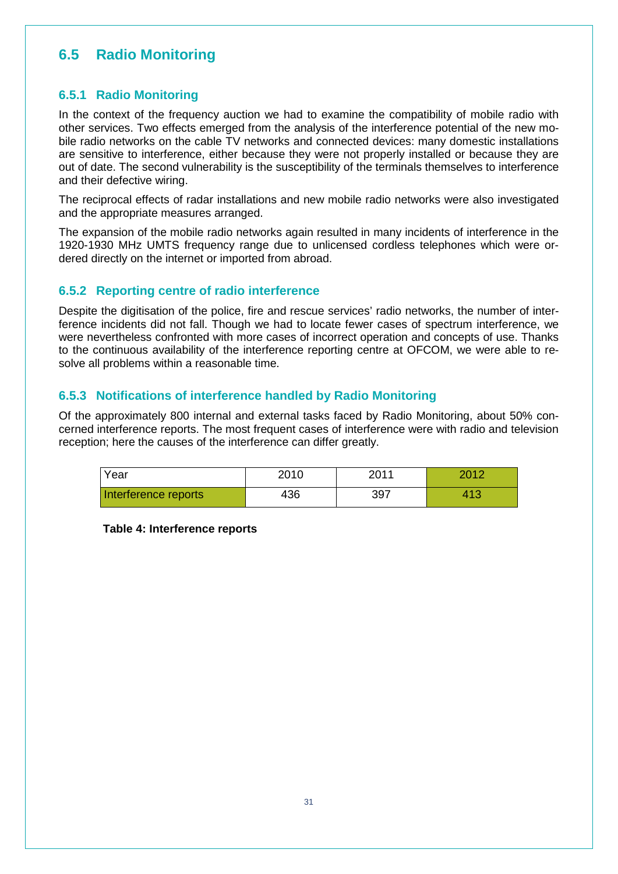## <span id="page-30-0"></span>**6.5 Radio Monitoring**

#### <span id="page-30-1"></span>**6.5.1 Radio Monitoring**

In the context of the frequency auction we had to examine the compatibility of mobile radio with other services. Two effects emerged from the analysis of the interference potential of the new mobile radio networks on the cable TV networks and connected devices: many domestic installations are sensitive to interference, either because they were not properly installed or because they are out of date. The second vulnerability is the susceptibility of the terminals themselves to interference and their defective wiring.

The reciprocal effects of radar installations and new mobile radio networks were also investigated and the appropriate measures arranged.

The expansion of the mobile radio networks again resulted in many incidents of interference in the 1920-1930 MHz UMTS frequency range due to unlicensed cordless telephones which were ordered directly on the internet or imported from abroad.

#### <span id="page-30-2"></span>**6.5.2 Reporting centre of radio interference**

Despite the digitisation of the police, fire and rescue services' radio networks, the number of interference incidents did not fall. Though we had to locate fewer cases of spectrum interference, we were nevertheless confronted with more cases of incorrect operation and concepts of use. Thanks to the continuous availability of the interference reporting centre at OFCOM, we were able to resolve all problems within a reasonable time.

#### <span id="page-30-3"></span>**6.5.3 Notifications of interference handled by Radio Monitoring**

Of the approximately 800 internal and external tasks faced by Radio Monitoring, about 50% concerned interference reports. The most frequent cases of interference were with radio and television reception; here the causes of the interference can differ greatly.

| Year                 | 2010 | 2011 | 2012 |  |  |
|----------------------|------|------|------|--|--|
| Interference reports | 436  | 397  | 413  |  |  |

<span id="page-30-4"></span>**Table 4: Interference reports**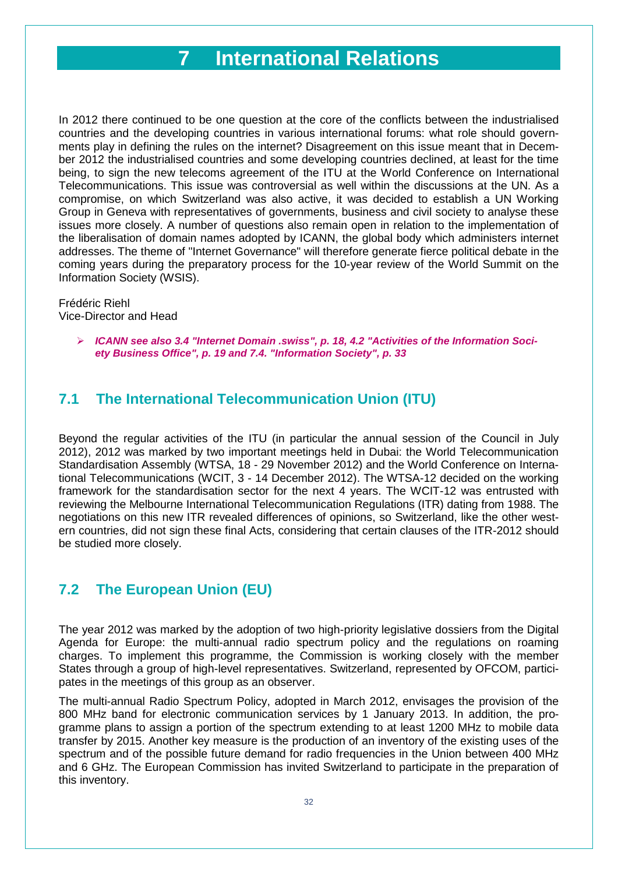## **7 International Relations**

<span id="page-31-0"></span>In 2012 there continued to be one question at the core of the conflicts between the industrialised countries and the developing countries in various international forums: what role should governments play in defining the rules on the internet? Disagreement on this issue meant that in December 2012 the industrialised countries and some developing countries declined, at least for the time being, to sign the new telecoms agreement of the ITU at the World Conference on International Telecommunications. This issue was controversial as well within the discussions at the UN. As a compromise, on which Switzerland was also active, it was decided to establish a UN Working Group in Geneva with representatives of governments, business and civil society to analyse these issues more closely. A number of questions also remain open in relation to the implementation of the liberalisation of domain names adopted by ICANN, the global body which administers internet addresses. The theme of "Internet Governance" will therefore generate fierce political debate in the coming years during the preparatory process for the 10-year review of the World Summit on the Information Society (WSIS).

#### Frédéric Riehl Vice-Director and Head

 *ICANN see also 3.4 "Internet Domain .swiss", p. 18, 4.2 "Activities of the Information Society Business Office", p. 19 and 7.4. "Information Society", p. 33*

## <span id="page-31-1"></span>**7.1 The International Telecommunication Union (ITU)**

Beyond the regular activities of the ITU (in particular the annual session of the Council in July 2012), 2012 was marked by two important meetings held in Dubai: the World Telecommunication Standardisation Assembly (WTSA, 18 - 29 November 2012) and the World Conference on International Telecommunications (WCIT, 3 - 14 December 2012). The WTSA-12 decided on the working framework for the standardisation sector for the next 4 years. The WCIT-12 was entrusted with reviewing the Melbourne International Telecommunication Regulations (ITR) dating from 1988. The negotiations on this new ITR revealed differences of opinions, so Switzerland, like the other western countries, did not sign these final Acts, considering that certain clauses of the ITR-2012 should be studied more closely.

## <span id="page-31-2"></span>**7.2 The European Union (EU)**

The year 2012 was marked by the adoption of two high-priority legislative dossiers from the Digital Agenda for Europe: the multi-annual radio spectrum policy and the regulations on roaming charges. To implement this programme, the Commission is working closely with the member States through a group of high-level representatives. Switzerland, represented by OFCOM, participates in the meetings of this group as an observer.

The multi-annual Radio Spectrum Policy, adopted in March 2012, envisages the provision of the 800 MHz band for electronic communication services by 1 January 2013. In addition, the programme plans to assign a portion of the spectrum extending to at least 1200 MHz to mobile data transfer by 2015. Another key measure is the production of an inventory of the existing uses of the spectrum and of the possible future demand for radio frequencies in the Union between 400 MHz and 6 GHz. The European Commission has invited Switzerland to participate in the preparation of this inventory.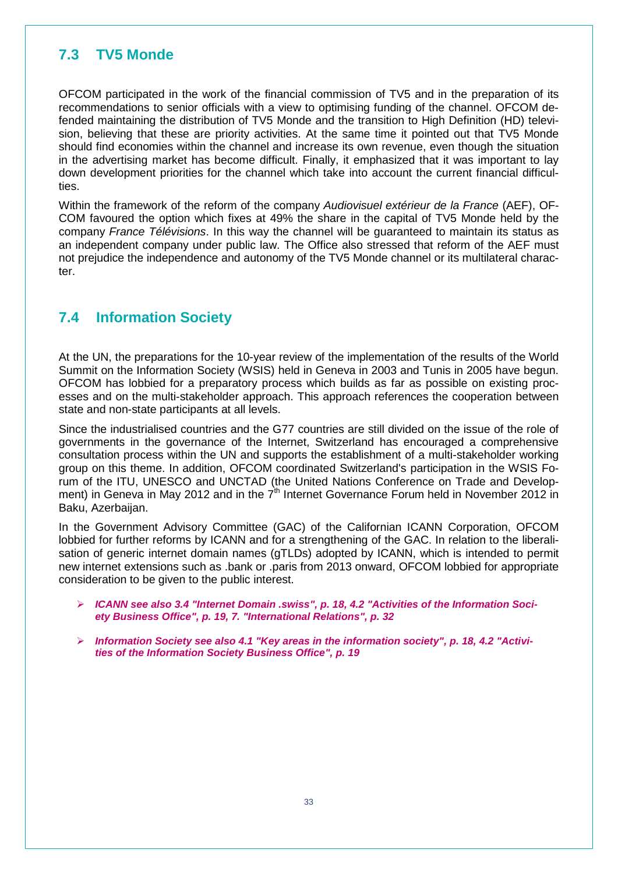## <span id="page-32-0"></span>**7.3 TV5 Monde**

OFCOM participated in the work of the financial commission of TV5 and in the preparation of its recommendations to senior officials with a view to optimising funding of the channel. OFCOM defended maintaining the distribution of TV5 Monde and the transition to High Definition (HD) television, believing that these are priority activities. At the same time it pointed out that TV5 Monde should find economies within the channel and increase its own revenue, even though the situation in the advertising market has become difficult. Finally, it emphasized that it was important to lay down development priorities for the channel which take into account the current financial difficulties.

Within the framework of the reform of the company *Audiovisuel extérieur de la France* (AEF), OF-COM favoured the option which fixes at 49% the share in the capital of TV5 Monde held by the company *France Télévisions*. In this way the channel will be guaranteed to maintain its status as an independent company under public law. The Office also stressed that reform of the AEF must not prejudice the independence and autonomy of the TV5 Monde channel or its multilateral character.

## <span id="page-32-1"></span>**7.4 Information Society**

At the UN, the preparations for the 10-year review of the implementation of the results of the World Summit on the Information Society (WSIS) held in Geneva in 2003 and Tunis in 2005 have begun. OFCOM has lobbied for a preparatory process which builds as far as possible on existing processes and on the multi-stakeholder approach. This approach references the cooperation between state and non-state participants at all levels.

Since the industrialised countries and the G77 countries are still divided on the issue of the role of governments in the governance of the Internet, Switzerland has encouraged a comprehensive consultation process within the UN and supports the establishment of a multi-stakeholder working group on this theme. In addition, OFCOM coordinated Switzerland's participation in the WSIS Forum of the ITU, UNESCO and UNCTAD (the United Nations Conference on Trade and Development) in Geneva in May 2012 and in the  $7<sup>th</sup>$  Internet Governance Forum held in November 2012 in Baku, Azerbaijan.

In the Government Advisory Committee (GAC) of the Californian ICANN Corporation, OFCOM lobbied for further reforms by ICANN and for a strengthening of the GAC. In relation to the liberalisation of generic internet domain names (gTLDs) adopted by ICANN, which is intended to permit new internet extensions such as .bank or .paris from 2013 onward, OFCOM lobbied for appropriate consideration to be given to the public interest.

- *ICANN see also 3.4 "Internet Domain .swiss", p. 18, 4.2 "Activities of the Information Society Business Office", p. 19, 7. "International Relations", p. 32*
- *Information Society see also 4.1 "Key areas in the information society", p. 18, 4.2 "Activities of the Information Society Business Office", p. 19*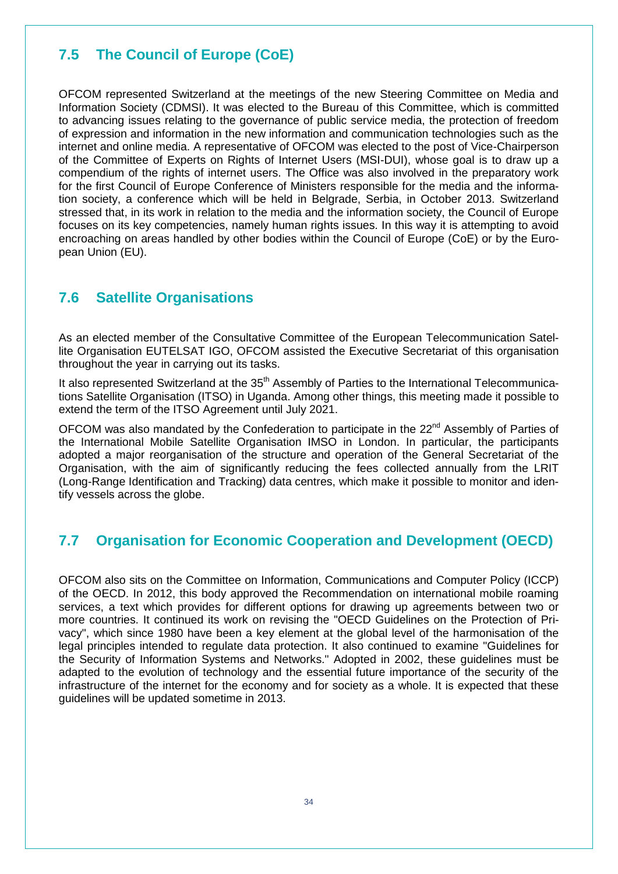## <span id="page-33-0"></span>**7.5 The Council of Europe (CoE)**

OFCOM represented Switzerland at the meetings of the new Steering Committee on Media and Information Society (CDMSI). It was elected to the Bureau of this Committee, which is committed to advancing issues relating to the governance of public service media, the protection of freedom of expression and information in the new information and communication technologies such as the internet and online media. A representative of OFCOM was elected to the post of Vice-Chairperson of the Committee of Experts on Rights of Internet Users (MSI-DUI), whose goal is to draw up a compendium of the rights of internet users. The Office was also involved in the preparatory work for the first Council of Europe Conference of Ministers responsible for the media and the information society, a conference which will be held in Belgrade, Serbia, in October 2013. Switzerland stressed that, in its work in relation to the media and the information society, the Council of Europe focuses on its key competencies, namely human rights issues. In this way it is attempting to avoid encroaching on areas handled by other bodies within the Council of Europe (CoE) or by the European Union (EU).

## <span id="page-33-1"></span>**7.6 Satellite Organisations**

As an elected member of the Consultative Committee of the European Telecommunication Satellite Organisation EUTELSAT IGO, OFCOM assisted the Executive Secretariat of this organisation throughout the year in carrying out its tasks.

It also represented Switzerland at the 35<sup>th</sup> Assembly of Parties to the International Telecommunications Satellite Organisation (ITSO) in Uganda. Among other things, this meeting made it possible to extend the term of the ITSO Agreement until July 2021.

OFCOM was also mandated by the Confederation to participate in the 22<sup>nd</sup> Assembly of Parties of the International Mobile Satellite Organisation IMSO in London. In particular, the participants adopted a major reorganisation of the structure and operation of the General Secretariat of the Organisation, with the aim of significantly reducing the fees collected annually from the LRIT (Long-Range Identification and Tracking) data centres, which make it possible to monitor and identify vessels across the globe.

## <span id="page-33-2"></span>**7.7 Organisation for Economic Cooperation and Development (OECD)**

OFCOM also sits on the Committee on Information, Communications and Computer Policy (ICCP) of the OECD. In 2012, this body approved the Recommendation on international mobile roaming services, a text which provides for different options for drawing up agreements between two or more countries. It continued its work on revising the "OECD Guidelines on the Protection of Privacy", which since 1980 have been a key element at the global level of the harmonisation of the legal principles intended to regulate data protection. It also continued to examine "Guidelines for the Security of Information Systems and Networks." Adopted in 2002, these guidelines must be adapted to the evolution of technology and the essential future importance of the security of the infrastructure of the internet for the economy and for society as a whole. It is expected that these guidelines will be updated sometime in 2013.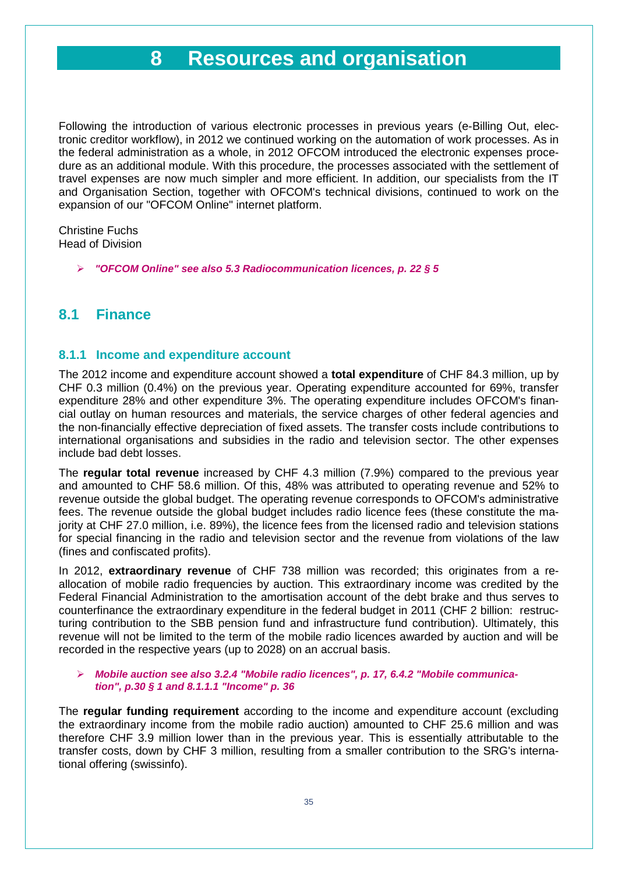## **8 Resources and organisation**

<span id="page-34-0"></span>Following the introduction of various electronic processes in previous years (e-Billing Out, electronic creditor workflow), in 2012 we continued working on the automation of work processes. As in the federal administration as a whole, in 2012 OFCOM introduced the electronic expenses procedure as an additional module. With this procedure, the processes associated with the settlement of travel expenses are now much simpler and more efficient. In addition, our specialists from the IT and Organisation Section, together with OFCOM's technical divisions, continued to work on the expansion of our "OFCOM Online" internet platform.

Christine Fuchs Head of Division

*"OFCOM Online" see also 5.3 Radiocommunication licences, p. 22 § 5*

### <span id="page-34-1"></span>**8.1 Finance**

#### <span id="page-34-2"></span>**8.1.1 Income and expenditure account**

The 2012 income and expenditure account showed a **total expenditure** of CHF 84.3 million, up by CHF 0.3 million (0.4%) on the previous year. Operating expenditure accounted for 69%, transfer expenditure 28% and other expenditure 3%. The operating expenditure includes OFCOM's financial outlay on human resources and materials, the service charges of other federal agencies and the non-financially effective depreciation of fixed assets. The transfer costs include contributions to international organisations and subsidies in the radio and television sector. The other expenses include bad debt losses.

The **regular total revenue** increased by CHF 4.3 million (7.9%) compared to the previous year and amounted to CHF 58.6 million. Of this, 48% was attributed to operating revenue and 52% to revenue outside the global budget. The operating revenue corresponds to OFCOM's administrative fees. The revenue outside the global budget includes radio licence fees (these constitute the majority at CHF 27.0 million, i.e. 89%), the licence fees from the licensed radio and television stations for special financing in the radio and television sector and the revenue from violations of the law (fines and confiscated profits).

In 2012, **extraordinary revenue** of CHF 738 million was recorded; this originates from a reallocation of mobile radio frequencies by auction. This extraordinary income was credited by the Federal Financial Administration to the amortisation account of the debt brake and thus serves to counterfinance the extraordinary expenditure in the federal budget in 2011 (CHF 2 billion: restructuring contribution to the SBB pension fund and infrastructure fund contribution). Ultimately, this revenue will not be limited to the term of the mobile radio licences awarded by auction and will be recorded in the respective years (up to 2028) on an accrual basis.

#### *Mobile auction see also 3.2.4 "Mobile radio licences", p. 17, 6.4.2 "Mobile communication", p.30 § 1 and 8.1.1.1 "Income" p. 36*

The **regular funding requirement** according to the income and expenditure account (excluding the extraordinary income from the mobile radio auction) amounted to CHF 25.6 million and was therefore CHF 3.9 million lower than in the previous year. This is essentially attributable to the transfer costs, down by CHF 3 million, resulting from a smaller contribution to the SRG's international offering (swissinfo).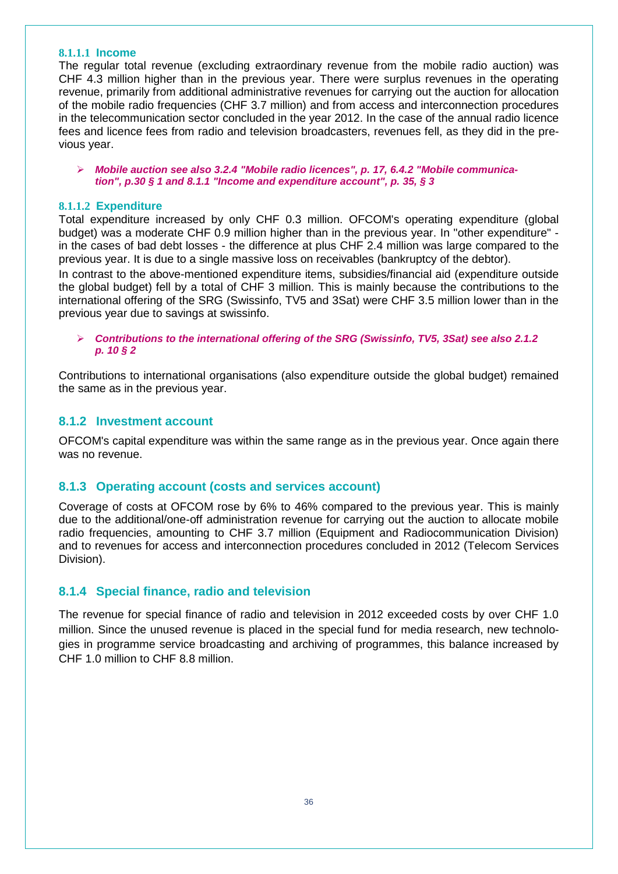#### **8.1.1.1 Income**

The regular total revenue (excluding extraordinary revenue from the mobile radio auction) was CHF 4.3 million higher than in the previous year. There were surplus revenues in the operating revenue, primarily from additional administrative revenues for carrying out the auction for allocation of the mobile radio frequencies (CHF 3.7 million) and from access and interconnection procedures in the telecommunication sector concluded in the year 2012. In the case of the annual radio licence fees and licence fees from radio and television broadcasters, revenues fell, as they did in the previous year.

 *Mobile auction see also 3.2.4 "Mobile radio licences", p. 17, 6.4.2 "Mobile communication", p.30 § 1 and 8.1.1 "Income and expenditure account", p. 35, § 3* 

#### **8.1.1.2 Expenditure**

Total expenditure increased by only CHF 0.3 million. OFCOM's operating expenditure (global budget) was a moderate CHF 0.9 million higher than in the previous year. In "other expenditure" in the cases of bad debt losses - the difference at plus CHF 2.4 million was large compared to the previous year. It is due to a single massive loss on receivables (bankruptcy of the debtor).

In contrast to the above-mentioned expenditure items, subsidies/financial aid (expenditure outside the global budget) fell by a total of CHF 3 million. This is mainly because the contributions to the international offering of the SRG (Swissinfo, TV5 and 3Sat) were CHF 3.5 million lower than in the previous year due to savings at swissinfo.

 *Contributions to the international offering of the SRG (Swissinfo, TV5, 3Sat) see also 2.1.2 p. 10 § 2*

Contributions to international organisations (also expenditure outside the global budget) remained the same as in the previous year.

#### <span id="page-35-0"></span>**8.1.2 Investment account**

OFCOM's capital expenditure was within the same range as in the previous year. Once again there was no revenue.

#### **8.1.3 Operating account (costs and services account)**

Coverage of costs at OFCOM rose by 6% to 46% compared to the previous year. This is mainly due to the additional/one-off administration revenue for carrying out the auction to allocate mobile radio frequencies, amounting to CHF 3.7 million [\(Equipment and](http://www.bakom.admin.ch/org/organisation/00537/01075/index.html?lang=en) [Radiocommunication](http://www.bakom.admin.ch/org/organisation/00537/01075/index.html?lang=en) Division) and to revenues for access and interconnection procedures concluded in 2012 (Telecom Services Division).

#### <span id="page-35-1"></span>**8.1.4 Special finance, radio and television**

The revenue for special finance of radio and television in 2012 exceeded costs by over CHF 1.0 million. Since the unused revenue is placed in the special fund for media research, new technologies in programme service broadcasting and archiving of programmes, this balance increased by CHF 1.0 million to CHF 8.8 million.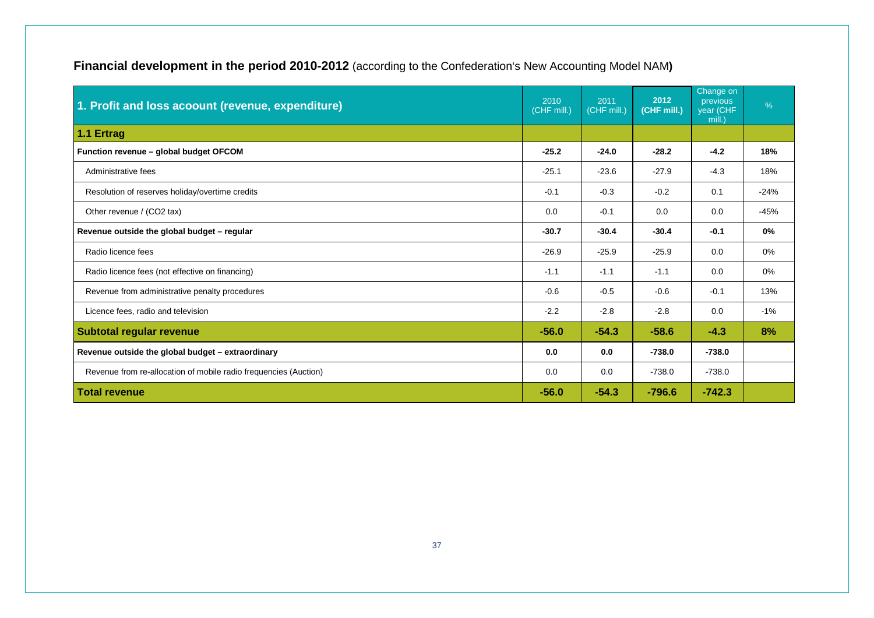| Financial development in the period 2010-2012 (according to the Confederation's New Accounting Model NAM) |  |  |
|-----------------------------------------------------------------------------------------------------------|--|--|
|-----------------------------------------------------------------------------------------------------------|--|--|

| 1. Profit and loss acoount (revenue, expenditure)                | 2010<br>(CHF mill.) | 2011<br>(CHF mill.) | 2012<br>(CHF mill.) | Change on<br>previous<br>year (CHF<br>mill.) | $\frac{9}{6}$ |
|------------------------------------------------------------------|---------------------|---------------------|---------------------|----------------------------------------------|---------------|
| 1.1 Ertrag                                                       |                     |                     |                     |                                              |               |
| Function revenue - global budget OFCOM                           | $-25.2$             | $-24.0$             | $-28.2$             | $-4.2$                                       | 18%           |
| Administrative fees                                              | $-25.1$             | $-23.6$             | $-27.9$             | $-4.3$                                       | 18%           |
| Resolution of reserves holiday/overtime credits                  | $-0.1$              | $-0.3$              | $-0.2$              | 0.1                                          | $-24%$        |
| Other revenue / (CO2 tax)                                        | 0.0                 | $-0.1$              | 0.0                 | 0.0                                          | $-45%$        |
| Revenue outside the global budget - regular                      | $-30.7$             | $-30.4$             | $-30.4$             | $-0.1$                                       | 0%            |
| Radio licence fees                                               | $-26.9$             | $-25.9$             | $-25.9$             | 0.0                                          | 0%            |
| Radio licence fees (not effective on financing)                  | $-1.1$              | $-1.1$              | $-1.1$              | 0.0                                          | 0%            |
| Revenue from administrative penalty procedures                   | $-0.6$              | $-0.5$              | $-0.6$              | $-0.1$                                       | 13%           |
| Licence fees, radio and television                               | $-2.2$              | $-2.8$              | $-2.8$              | 0.0                                          | $-1%$         |
| <b>Subtotal regular revenue</b>                                  |                     | $-54.3$             | $-58.6$             | $-4.3$                                       | 8%            |
| Revenue outside the global budget - extraordinary                |                     | 0.0                 | $-738.0$            | $-738.0$                                     |               |
| Revenue from re-allocation of mobile radio frequencies (Auction) | 0.0                 | 0.0                 | $-738.0$            | $-738.0$                                     |               |
| <b>Total revenue</b>                                             | $-56.0$             | $-54.3$             | $-796.6$            | $-742.3$                                     |               |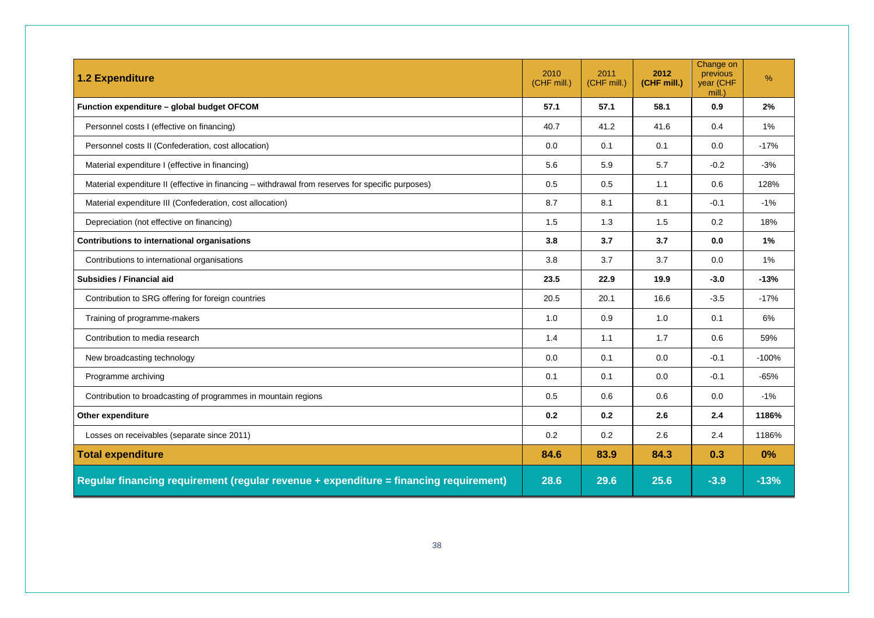| <b>1.2 Expenditure</b>                                                                            | 2010<br>(CHF mill.) | 2011<br>(CHF mill.) | 2012<br>(CHF mill.) | Change on<br>previous<br>year (CHF<br>mill.) | %       |
|---------------------------------------------------------------------------------------------------|---------------------|---------------------|---------------------|----------------------------------------------|---------|
| Function expenditure - global budget OFCOM                                                        | 57.1                | 57.1                | 58.1                | 0.9                                          | 2%      |
| Personnel costs I (effective on financing)                                                        | 40.7                | 41.2                | 41.6                | 0.4                                          | 1%      |
| Personnel costs II (Confederation, cost allocation)                                               | 0.0                 | 0.1                 | 0.1                 | 0.0                                          | $-17%$  |
| Material expenditure I (effective in financing)                                                   | 5.6                 | 5.9                 | 5.7                 | $-0.2$                                       | $-3%$   |
| Material expenditure II (effective in financing – withdrawal from reserves for specific purposes) | 0.5                 | 0.5                 | 1.1                 | 0.6                                          | 128%    |
| Material expenditure III (Confederation, cost allocation)                                         | 8.7                 | 8.1                 | 8.1                 | $-0.1$                                       | $-1%$   |
| Depreciation (not effective on financing)                                                         | 1.5                 | 1.3                 | 1.5                 | 0.2                                          | 18%     |
| Contributions to international organisations                                                      | 3.8                 | 3.7                 | 3.7                 | 0.0                                          | 1%      |
| Contributions to international organisations                                                      | 3.8                 | 3.7                 | 3.7                 | 0.0                                          | 1%      |
| <b>Subsidies / Financial aid</b>                                                                  | 23.5                | 22.9                | 19.9                | $-3.0$                                       | $-13%$  |
| Contribution to SRG offering for foreign countries                                                | 20.5                | 20.1                | 16.6                | $-3.5$                                       | $-17%$  |
| Training of programme-makers                                                                      | 1.0                 | 0.9                 | 1.0                 | 0.1                                          | 6%      |
| Contribution to media research                                                                    |                     | 1.1                 | 1.7                 | 0.6                                          | 59%     |
| New broadcasting technology                                                                       | 0.0                 | 0.1                 | 0.0                 | $-0.1$                                       | $-100%$ |
| Programme archiving                                                                               | 0.1                 | 0.1                 | 0.0                 | $-0.1$                                       | $-65%$  |
| Contribution to broadcasting of programmes in mountain regions                                    | 0.5                 | 0.6                 | 0.6                 | 0.0                                          | $-1%$   |
| Other expenditure                                                                                 | 0.2                 | 0.2                 | 2.6                 | 2.4                                          | 1186%   |
| Losses on receivables (separate since 2011)                                                       | 0.2                 | 0.2                 | 2.6                 | 2.4                                          | 1186%   |
| <b>Total expenditure</b>                                                                          | 84.6                | 83.9                | 84.3                | 0.3                                          | 0%      |
| Regular financing requirement (regular revenue + expenditure = financing requirement)             | 28.6                | 29.6                | 25.6                | $-3.9$                                       | $-13%$  |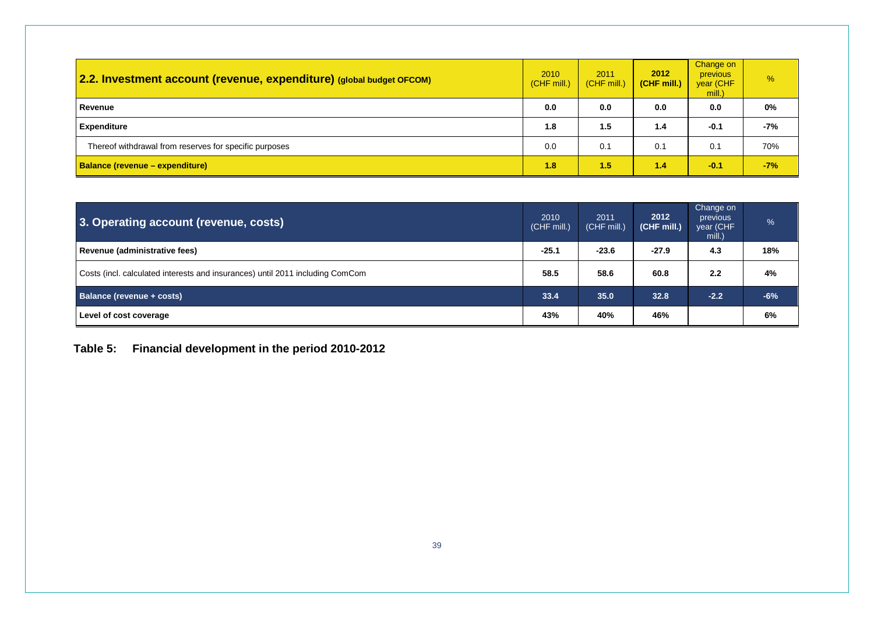| 2.2. Investment account (revenue, expenditure) (global budget OFCOM) | 2010<br>(CHF mill.) | 2011<br>(CHF mill.) | 2012<br>(CHF mill.) | Change on<br><b>previous</b><br>year (CHF<br>mill.) | $\%$  |
|----------------------------------------------------------------------|---------------------|---------------------|---------------------|-----------------------------------------------------|-------|
| Revenue                                                              |                     | 0.0                 | 0.0                 | 0.0                                                 | 0%    |
| <b>Expenditure</b>                                                   | 1.8                 | 1.5                 | 1.4                 | $-0.1$                                              | -7%   |
| Thereof withdrawal from reserves for specific purposes               |                     | 0.1                 | 0.1                 | 0.1                                                 | 70%   |
| <b>Balance (revenue – expenditure)</b>                               | 1.8                 | 1.5                 | 1.4                 | $-0.1$                                              | $-7%$ |

| 3. Operating account (revenue, costs)                                         |         | 2011<br>(CHF mill.) | 2012<br>(CHF mill.) | Change on<br>previous<br>year (CHF<br>mill.) | %     |
|-------------------------------------------------------------------------------|---------|---------------------|---------------------|----------------------------------------------|-------|
| Revenue (administrative fees)                                                 | $-25.1$ | $-23.6$             | $-27.9$             | 4.3                                          | 18%   |
| Costs (incl. calculated interests and insurances) until 2011 including ComCom |         | 58.6                | 60.8                | 2.2                                          | 4%    |
| Balance (revenue + costs)                                                     |         | 35.0                | 32.8                | $-2.2$                                       | $-6%$ |
| Level of cost coverage                                                        |         | 40%                 | 46%                 |                                              | 6%    |

### <span id="page-38-0"></span>**Table 5: Financial development in the period 2010-2012**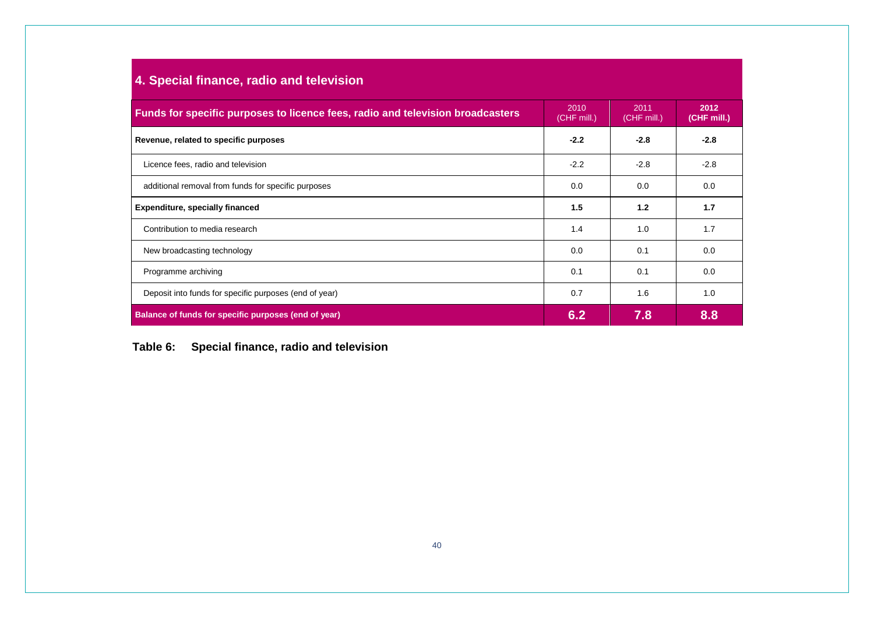| 4. Special finance, radio and television                                                                                                                      |        |        |        |  |  |  |
|---------------------------------------------------------------------------------------------------------------------------------------------------------------|--------|--------|--------|--|--|--|
| 2012<br>2010<br>2011<br>Funds for specific purposes to licence fees, radio and television broadcasters<br>(CHF mill.)<br>$(CHF \text{ mill.})$<br>(CHF mill.) |        |        |        |  |  |  |
| Revenue, related to specific purposes                                                                                                                         | $-2.2$ | $-2.8$ | $-2.8$ |  |  |  |
| Licence fees, radio and television                                                                                                                            | $-2.2$ | $-2.8$ | $-2.8$ |  |  |  |
| additional removal from funds for specific purposes                                                                                                           | 0.0    | 0.0    | 0.0    |  |  |  |
| <b>Expenditure, specially financed</b>                                                                                                                        |        | 1.2    | 1.7    |  |  |  |
| Contribution to media research                                                                                                                                | 1.4    | 1.0    | 1.7    |  |  |  |
| New broadcasting technology                                                                                                                                   |        | 0.1    | 0.0    |  |  |  |
| Programme archiving                                                                                                                                           | 0.1    | 0.1    | 0.0    |  |  |  |
| Deposit into funds for specific purposes (end of year)                                                                                                        | 0.7    | 1.6    | 1.0    |  |  |  |
| Balance of funds for specific purposes (end of year)                                                                                                          | 6.2    | 7.8    | 8.8    |  |  |  |

<span id="page-39-0"></span>**Table 6: Special finance, radio and television**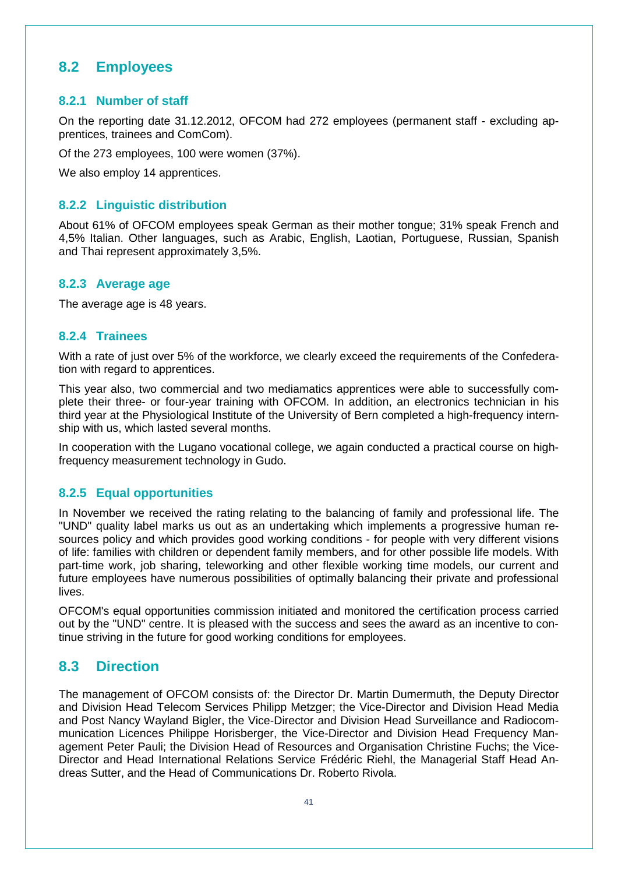## <span id="page-40-0"></span>**8.2 Employees**

#### <span id="page-40-1"></span>**8.2.1 Number of staff**

On the reporting date 31.12.2012, OFCOM had 272 employees (permanent staff - excluding apprentices, trainees and ComCom).

Of the 273 employees, 100 were women (37%).

We also employ 14 apprentices.

#### <span id="page-40-2"></span>**8.2.2 Linguistic distribution**

About 61% of OFCOM employees speak German as their mother tongue; 31% speak French and 4,5% Italian. Other languages, such as Arabic, English, Laotian, Portuguese, Russian, Spanish and Thai represent approximately 3,5%.

#### <span id="page-40-3"></span>**8.2.3 Average age**

The average age is 48 years.

#### <span id="page-40-4"></span>**8.2.4 Trainees**

With a rate of just over 5% of the workforce, we clearly exceed the requirements of the Confederation with regard to apprentices.

This year also, two commercial and two mediamatics apprentices were able to successfully complete their three- or four-year training with OFCOM. In addition, an electronics technician in his third year at the Physiological Institute of the University of Bern completed a high-frequency internship with us, which lasted several months.

In cooperation with the Lugano vocational college, we again conducted a practical course on highfrequency measurement technology in Gudo.

#### <span id="page-40-5"></span>**8.2.5 Equal opportunities**

In November we received the rating relating to the balancing of family and professional life. The "UND" quality label marks us out as an undertaking which implements a progressive human resources policy and which provides good working conditions - for people with very different visions of life: families with children or dependent family members, and for other possible life models. With part-time work, job sharing, teleworking and other flexible working time models, our current and future employees have numerous possibilities of optimally balancing their private and professional lives.

OFCOM's equal opportunities commission initiated and monitored the certification process carried out by the "UND" centre. It is pleased with the success and sees the award as an incentive to continue striving in the future for good working conditions for employees.

### <span id="page-40-6"></span>**8.3 Direction**

The management of OFCOM consists of: the Director Dr. Martin Dumermuth, the Deputy Director and Division Head Telecom Services Philipp Metzger; the Vice-Director and Division Head Media and Post Nancy Wayland Bigler, the Vice-Director and Division Head Surveillance and Radiocommunication Licences Philippe Horisberger, the Vice-Director and Division Head Frequency Management Peter Pauli; the Division Head of Resources and Organisation Christine Fuchs; the Vice-Director and Head International Relations Service Frédéric Riehl, the Managerial Staff Head Andreas Sutter, and the Head of Communications Dr. Roberto Rivola.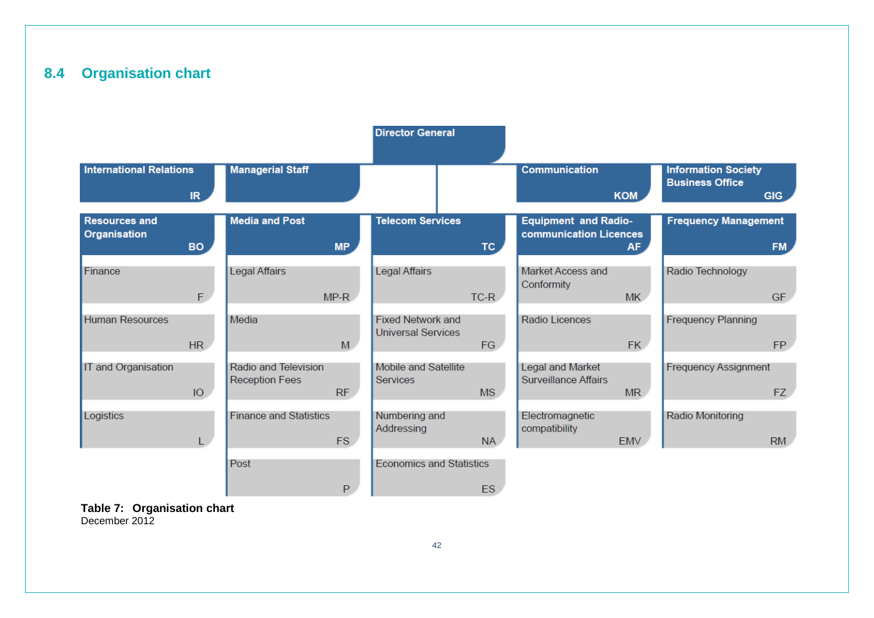## **8.4 Organisation chart**

<span id="page-41-0"></span>

|                                             |                |                                               |           | <b>Director General</b>                               |           |                                                       |            |                                                      |            |
|---------------------------------------------|----------------|-----------------------------------------------|-----------|-------------------------------------------------------|-----------|-------------------------------------------------------|------------|------------------------------------------------------|------------|
| <b>International Relations</b>              | IR             | <b>Managerial Staff</b>                       |           |                                                       |           | <b>Communication</b>                                  | <b>KOM</b> | <b>Information Society</b><br><b>Business Office</b> | <b>GIG</b> |
| <b>Resources and</b><br><b>Organisation</b> | BO             | <b>Media and Post</b>                         | <b>MP</b> | <b>Telecom Services</b>                               | TC.       | <b>Equipment and Radio-</b><br>communication Licences | <b>AF</b>  | <b>Frequency Management</b>                          | FM         |
| Finance                                     | F.             | <b>Legal Affairs</b>                          | $MP-R$    | <b>Legal Affairs</b>                                  | $TC-R$    | Market Access and<br>Conformity                       | <b>MK</b>  | Radio Technology                                     | GF.        |
| <b>Human Resources</b>                      | H <sub>R</sub> | Media                                         | M         | <b>Fixed Network and</b><br><b>Universal Services</b> | FG        | <b>Radio Licences</b>                                 | FK.        | <b>Frequency Planning</b>                            | FP.        |
| IT and Organisation                         | IO             | Radio and Television<br><b>Reception Fees</b> | RF        | Mobile and Satellite<br>Services                      | <b>MS</b> | Legal and Market<br><b>Surveillance Affairs</b>       | <b>MR</b>  | <b>Frequency Assignment</b>                          | FZ.        |
| Logistics                                   |                | <b>Finance and Statistics</b>                 | <b>FS</b> | Numbering and<br>Addressing                           | <b>NA</b> | Electromagnetic<br>compatibility                      | <b>EMV</b> | <b>Radio Monitoring</b>                              | RM         |
|                                             |                | Post                                          | P         | <b>Economics and Statistics</b>                       | ES        |                                                       |            |                                                      |            |

#### <span id="page-41-1"></span>**Table 7: Organisation chart**  December 2012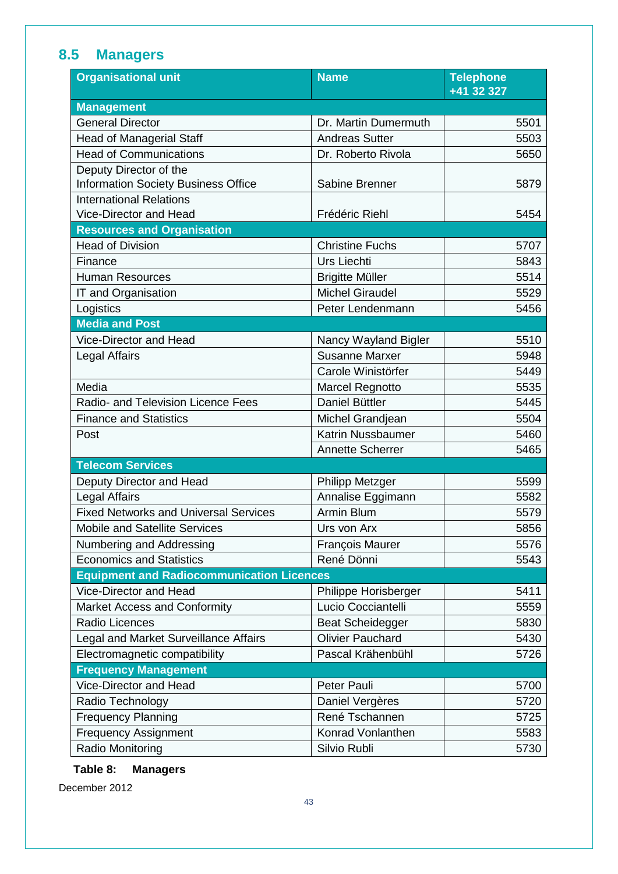## <span id="page-42-0"></span>**8.5 Managers**

| <b>Organisational unit</b>                       | <b>Name</b>             | <b>Telephone</b><br>+41 32 327 |
|--------------------------------------------------|-------------------------|--------------------------------|
| <b>Management</b>                                |                         |                                |
| <b>General Director</b>                          | Dr. Martin Dumermuth    | 5501                           |
| <b>Head of Managerial Staff</b>                  | <b>Andreas Sutter</b>   | 5503                           |
| <b>Head of Communications</b>                    | Dr. Roberto Rivola      | 5650                           |
| Deputy Director of the                           |                         |                                |
| <b>Information Society Business Office</b>       | Sabine Brenner          | 5879                           |
| <b>International Relations</b>                   |                         |                                |
| Vice-Director and Head                           | Frédéric Riehl          | 5454                           |
| <b>Resources and Organisation</b>                |                         |                                |
| <b>Head of Division</b>                          | <b>Christine Fuchs</b>  | 5707                           |
| Finance                                          | <b>Urs Liechti</b>      | 5843                           |
| <b>Human Resources</b>                           | <b>Brigitte Müller</b>  | 5514                           |
| IT and Organisation                              | <b>Michel Giraudel</b>  | 5529                           |
| Logistics                                        | Peter Lendenmann        | 5456                           |
| <b>Media and Post</b>                            |                         |                                |
| <b>Vice-Director and Head</b>                    | Nancy Wayland Bigler    | 5510                           |
| Legal Affairs                                    | <b>Susanne Marxer</b>   | 5948                           |
|                                                  | Carole Winistörfer      | 5449                           |
| Media                                            | Marcel Regnotto         | 5535                           |
| Radio- and Television Licence Fees               | Daniel Büttler          | 5445                           |
| <b>Finance and Statistics</b>                    | Michel Grandjean        | 5504                           |
| Post                                             | Katrin Nussbaumer       | 5460                           |
|                                                  | <b>Annette Scherrer</b> | 5465                           |
| <b>Telecom Services</b>                          |                         |                                |
| Deputy Director and Head                         | Philipp Metzger         | 5599                           |
| <b>Legal Affairs</b>                             | Annalise Eggimann       | 5582                           |
| <b>Fixed Networks and Universal Services</b>     | Armin Blum              | 5579                           |
| <b>Mobile and Satellite Services</b>             | Urs von Arx             | 5856                           |
| Numbering and Addressing                         | <b>François Maurer</b>  | 5576                           |
| <b>Economics and Statistics</b>                  | René Dönni              | 5543                           |
| <b>Equipment and Radiocommunication Licences</b> |                         |                                |
| Vice-Director and Head                           | Philippe Horisberger    | 5411                           |
| Market Access and Conformity                     | Lucio Cocciantelli      | 5559                           |
| Radio Licences                                   | <b>Beat Scheidegger</b> | 5830                           |
| Legal and Market Surveillance Affairs            | <b>Olivier Pauchard</b> | 5430                           |
| Electromagnetic compatibility                    | Pascal Krähenbühl       | 5726                           |
| <b>Frequency Management</b>                      |                         |                                |
| Vice-Director and Head                           | Peter Pauli             | 5700                           |
| Radio Technology                                 | Daniel Vergères         | 5720                           |
| <b>Frequency Planning</b>                        | René Tschannen          | 5725                           |
| <b>Frequency Assignment</b>                      | Konrad Vonlanthen       | 5583                           |
| Radio Monitoring                                 | Silvio Rubli            | 5730                           |

## <span id="page-42-1"></span>**Table 8: Managers**

December 2012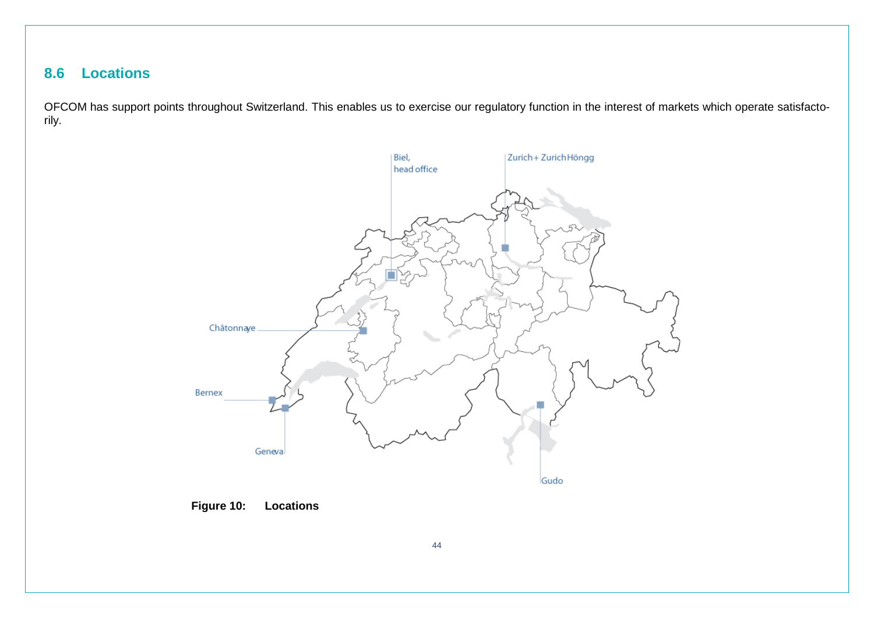## **8.6 Locations**

<span id="page-43-0"></span>OFCOM has support points throughout Switzerland. This enables us to exercise our regulatory function in the interest of markets which operate satisfactorily.



<span id="page-43-1"></span>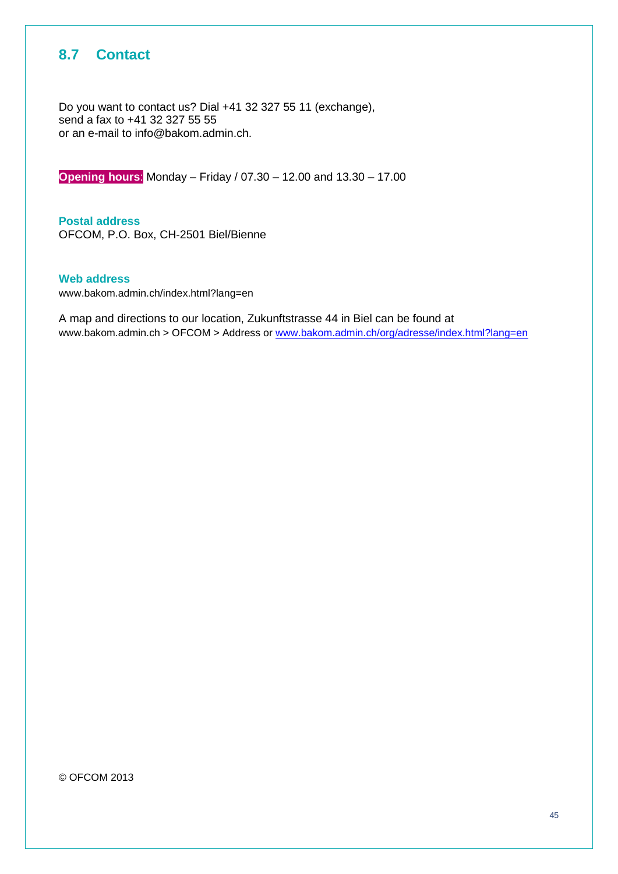## <span id="page-44-0"></span>**8.7 Contact**

Do you want to contact us? Dial +41 32 327 55 11 (exchange), send a fax to +41 32 327 55 55 or an e-mail to info@bakom.admin.ch.

**Opening hours**: Monday – Friday / 07.30 – 12.00 and 13.30 – 17.00

**Postal address**  OFCOM, P.O. Box, CH-2501 Biel/Bienne

#### **Web address**

www.bakom.admin.ch/index.html?lang=en

A map and directions to our location, Zukunftstrasse 44 in Biel can be found at www.bakom.admin.ch > OFCOM > Address or [www.bakom.admin.ch/org/adresse/index.html?lang=en](http://www.bakom.admin.ch/org/adresse/index.html?lang=en)

<span id="page-44-1"></span>© OFCOM 2013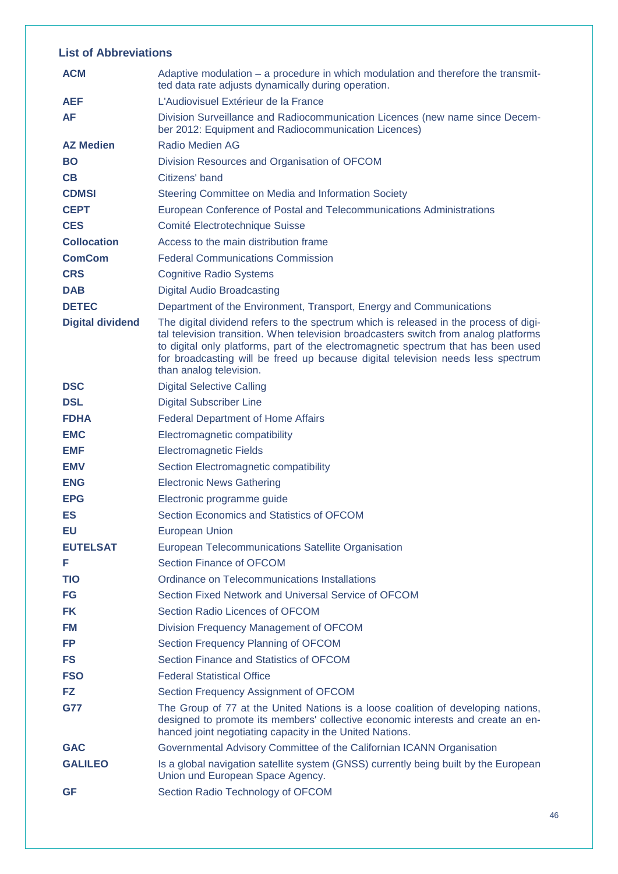### **List of Abbreviations**

| <b>ACM</b>              | Adaptive modulation – a procedure in which modulation and therefore the transmit-<br>ted data rate adjusts dynamically during operation.                                                                                                                                                                                                                                           |
|-------------------------|------------------------------------------------------------------------------------------------------------------------------------------------------------------------------------------------------------------------------------------------------------------------------------------------------------------------------------------------------------------------------------|
| <b>AEF</b>              | L'Audiovisuel Extérieur de la France                                                                                                                                                                                                                                                                                                                                               |
| AF                      | Division Surveillance and Radiocommunication Licences (new name since Decem-<br>ber 2012: Equipment and Radiocommunication Licences)                                                                                                                                                                                                                                               |
| <b>AZ Medien</b>        | <b>Radio Medien AG</b>                                                                                                                                                                                                                                                                                                                                                             |
| <b>BO</b>               | Division Resources and Organisation of OFCOM                                                                                                                                                                                                                                                                                                                                       |
| CB                      | Citizens' band                                                                                                                                                                                                                                                                                                                                                                     |
| <b>CDMSI</b>            | Steering Committee on Media and Information Society                                                                                                                                                                                                                                                                                                                                |
| <b>CEPT</b>             | European Conference of Postal and Telecommunications Administrations                                                                                                                                                                                                                                                                                                               |
| <b>CES</b>              | Comité Electrotechnique Suisse                                                                                                                                                                                                                                                                                                                                                     |
| <b>Collocation</b>      | Access to the main distribution frame                                                                                                                                                                                                                                                                                                                                              |
| <b>ComCom</b>           | <b>Federal Communications Commission</b>                                                                                                                                                                                                                                                                                                                                           |
| <b>CRS</b>              | <b>Cognitive Radio Systems</b>                                                                                                                                                                                                                                                                                                                                                     |
| <b>DAB</b>              | <b>Digital Audio Broadcasting</b>                                                                                                                                                                                                                                                                                                                                                  |
| <b>DETEC</b>            | Department of the Environment, Transport, Energy and Communications                                                                                                                                                                                                                                                                                                                |
| <b>Digital dividend</b> | The digital dividend refers to the spectrum which is released in the process of digi-<br>tal television transition. When television broadcasters switch from analog platforms<br>to digital only platforms, part of the electromagnetic spectrum that has been used<br>for broadcasting will be freed up because digital television needs less spectrum<br>than analog television. |
| <b>DSC</b>              | <b>Digital Selective Calling</b>                                                                                                                                                                                                                                                                                                                                                   |
| <b>DSL</b>              | <b>Digital Subscriber Line</b>                                                                                                                                                                                                                                                                                                                                                     |
| <b>FDHA</b>             | <b>Federal Department of Home Affairs</b>                                                                                                                                                                                                                                                                                                                                          |
| <b>EMC</b>              | Electromagnetic compatibility                                                                                                                                                                                                                                                                                                                                                      |
| <b>EMF</b>              | <b>Electromagnetic Fields</b>                                                                                                                                                                                                                                                                                                                                                      |
| <b>EMV</b>              | Section Electromagnetic compatibility                                                                                                                                                                                                                                                                                                                                              |
| <b>ENG</b>              | <b>Electronic News Gathering</b>                                                                                                                                                                                                                                                                                                                                                   |
| <b>EPG</b>              | Electronic programme guide                                                                                                                                                                                                                                                                                                                                                         |
| ES                      | Section Economics and Statistics of OFCOM                                                                                                                                                                                                                                                                                                                                          |
| <b>EU</b>               | <b>European Union</b>                                                                                                                                                                                                                                                                                                                                                              |
| <b>EUTELSAT</b>         | European Telecommunications Satellite Organisation                                                                                                                                                                                                                                                                                                                                 |
| F                       | Section Finance of OFCOM                                                                                                                                                                                                                                                                                                                                                           |
| <b>TIO</b>              | Ordinance on Telecommunications Installations                                                                                                                                                                                                                                                                                                                                      |
| FG                      | Section Fixed Network and Universal Service of OFCOM                                                                                                                                                                                                                                                                                                                               |
| <b>FK</b>               | Section Radio Licences of OFCOM                                                                                                                                                                                                                                                                                                                                                    |
| <b>FM</b>               | Division Frequency Management of OFCOM                                                                                                                                                                                                                                                                                                                                             |
| <b>FP</b>               | Section Frequency Planning of OFCOM                                                                                                                                                                                                                                                                                                                                                |
| <b>FS</b>               | Section Finance and Statistics of OFCOM                                                                                                                                                                                                                                                                                                                                            |
| <b>FSO</b>              | <b>Federal Statistical Office</b>                                                                                                                                                                                                                                                                                                                                                  |
| FZ                      | Section Frequency Assignment of OFCOM                                                                                                                                                                                                                                                                                                                                              |
| <b>G77</b>              | The Group of 77 at the United Nations is a loose coalition of developing nations,<br>designed to promote its members' collective economic interests and create an en-<br>hanced joint negotiating capacity in the United Nations.                                                                                                                                                  |
| <b>GAC</b>              | Governmental Advisory Committee of the Californian ICANN Organisation                                                                                                                                                                                                                                                                                                              |
| <b>GALILEO</b>          | Is a global navigation satellite system (GNSS) currently being built by the European<br>Union und European Space Agency.                                                                                                                                                                                                                                                           |
| <b>GF</b>               | Section Radio Technology of OFCOM                                                                                                                                                                                                                                                                                                                                                  |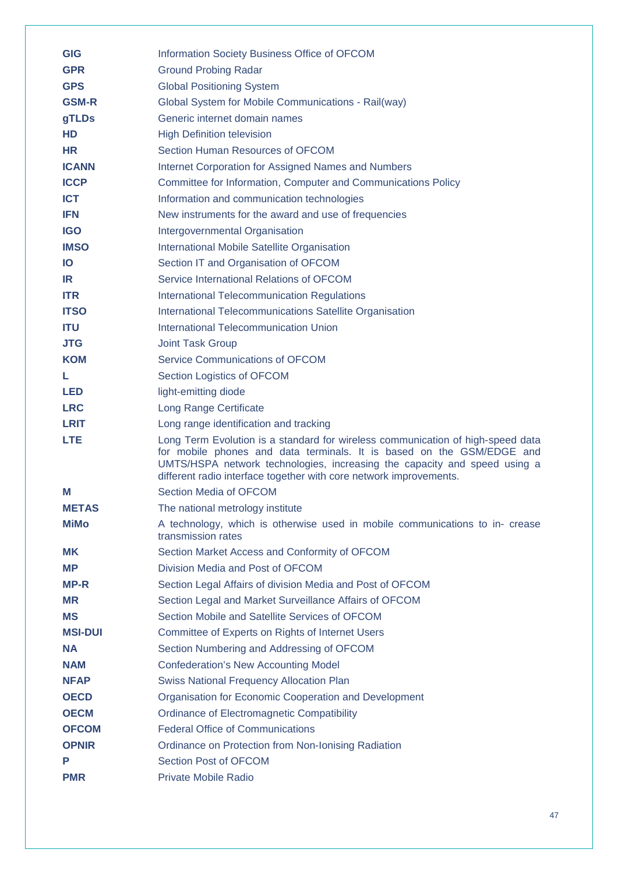| <b>GIG</b>     | Information Society Business Office of OFCOM                                                                                                                                                                                                                                                                |
|----------------|-------------------------------------------------------------------------------------------------------------------------------------------------------------------------------------------------------------------------------------------------------------------------------------------------------------|
| <b>GPR</b>     | <b>Ground Probing Radar</b>                                                                                                                                                                                                                                                                                 |
| <b>GPS</b>     | <b>Global Positioning System</b>                                                                                                                                                                                                                                                                            |
| <b>GSM-R</b>   | Global System for Mobile Communications - Rail(way)                                                                                                                                                                                                                                                         |
| gTLDs          | Generic internet domain names                                                                                                                                                                                                                                                                               |
| <b>HD</b>      | <b>High Definition television</b>                                                                                                                                                                                                                                                                           |
| <b>HR</b>      | Section Human Resources of OFCOM                                                                                                                                                                                                                                                                            |
| <b>ICANN</b>   | <b>Internet Corporation for Assigned Names and Numbers</b>                                                                                                                                                                                                                                                  |
| <b>ICCP</b>    | Committee for Information, Computer and Communications Policy                                                                                                                                                                                                                                               |
| <b>ICT</b>     | Information and communication technologies                                                                                                                                                                                                                                                                  |
| <b>IFN</b>     | New instruments for the award and use of frequencies                                                                                                                                                                                                                                                        |
| <b>IGO</b>     | Intergovernmental Organisation                                                                                                                                                                                                                                                                              |
| <b>IMSO</b>    | International Mobile Satellite Organisation                                                                                                                                                                                                                                                                 |
| <b>IO</b>      | Section IT and Organisation of OFCOM                                                                                                                                                                                                                                                                        |
| IR             | Service International Relations of OFCOM                                                                                                                                                                                                                                                                    |
| <b>ITR</b>     | <b>International Telecommunication Regulations</b>                                                                                                                                                                                                                                                          |
| <b>ITSO</b>    | International Telecommunications Satellite Organisation                                                                                                                                                                                                                                                     |
| <b>ITU</b>     | International Telecommunication Union                                                                                                                                                                                                                                                                       |
| <b>JTG</b>     | <b>Joint Task Group</b>                                                                                                                                                                                                                                                                                     |
| <b>KOM</b>     | <b>Service Communications of OFCOM</b>                                                                                                                                                                                                                                                                      |
| L.             | Section Logistics of OFCOM                                                                                                                                                                                                                                                                                  |
| <b>LED</b>     | light-emitting diode                                                                                                                                                                                                                                                                                        |
| <b>LRC</b>     | Long Range Certificate                                                                                                                                                                                                                                                                                      |
| <b>LRIT</b>    | Long range identification and tracking                                                                                                                                                                                                                                                                      |
| <b>LTE</b>     | Long Term Evolution is a standard for wireless communication of high-speed data<br>for mobile phones and data terminals. It is based on the GSM/EDGE and<br>UMTS/HSPA network technologies, increasing the capacity and speed using a<br>different radio interface together with core network improvements. |
| М              | Section Media of OFCOM                                                                                                                                                                                                                                                                                      |
| <b>METAS</b>   | The national metrology institute                                                                                                                                                                                                                                                                            |
| <b>MiMo</b>    | A technology, which is otherwise used in mobile communications to in- crease<br>transmission rates                                                                                                                                                                                                          |
| <b>MK</b>      | Section Market Access and Conformity of OFCOM                                                                                                                                                                                                                                                               |
| <b>MP</b>      | Division Media and Post of OFCOM                                                                                                                                                                                                                                                                            |
| <b>MP-R</b>    | Section Legal Affairs of division Media and Post of OFCOM                                                                                                                                                                                                                                                   |
| <b>MR</b>      | Section Legal and Market Surveillance Affairs of OFCOM                                                                                                                                                                                                                                                      |
| <b>MS</b>      | Section Mobile and Satellite Services of OFCOM                                                                                                                                                                                                                                                              |
| <b>MSI-DUI</b> | Committee of Experts on Rights of Internet Users                                                                                                                                                                                                                                                            |
| <b>NA</b>      | Section Numbering and Addressing of OFCOM                                                                                                                                                                                                                                                                   |
| <b>NAM</b>     | <b>Confederation's New Accounting Model</b>                                                                                                                                                                                                                                                                 |
| <b>NFAP</b>    | <b>Swiss National Frequency Allocation Plan</b>                                                                                                                                                                                                                                                             |
| <b>OECD</b>    | Organisation for Economic Cooperation and Development                                                                                                                                                                                                                                                       |
| <b>OECM</b>    | <b>Ordinance of Electromagnetic Compatibility</b>                                                                                                                                                                                                                                                           |
| <b>OFCOM</b>   | <b>Federal Office of Communications</b>                                                                                                                                                                                                                                                                     |
| <b>OPNIR</b>   | Ordinance on Protection from Non-Ionising Radiation                                                                                                                                                                                                                                                         |
|                |                                                                                                                                                                                                                                                                                                             |
| P              | Section Post of OFCOM                                                                                                                                                                                                                                                                                       |